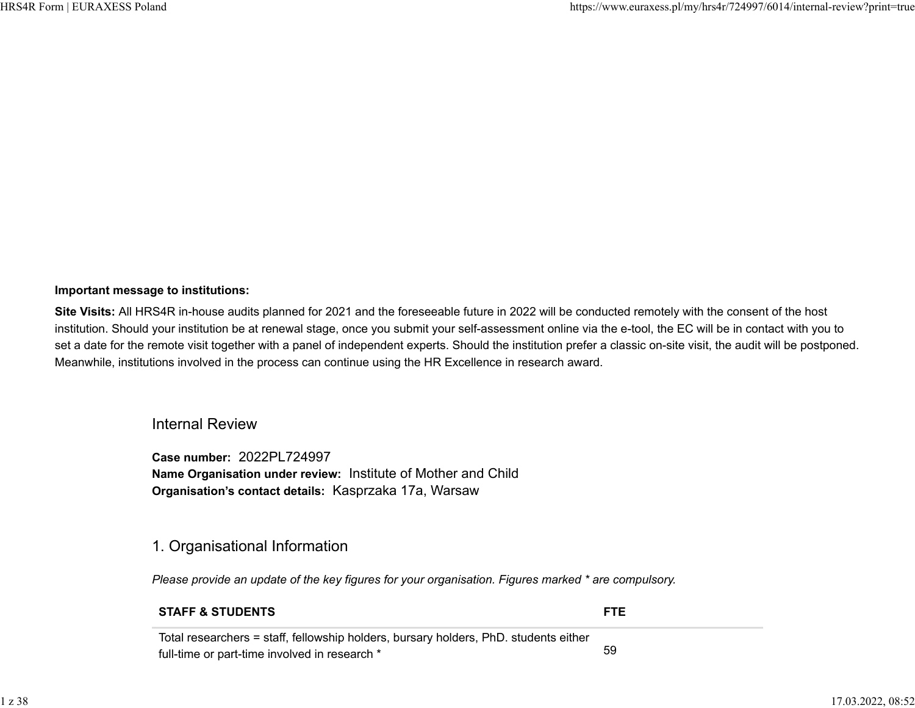#### **Important message to institutions:**

**Site Visits:** All HRS4R in-house audits planned for 2021 and the foreseeable future in 2022 will be conducted remotely with the consent of the host institution. Should your institution be at renewal stage, once you submit your self-assessment online via the e-tool, the EC will be in contact with you to set a date for the remote visit together with a panel of independent experts. Should the institution prefer a classic on-site visit, the audit will be postponed. Meanwhile, institutions involved in the process can continue using the HR Excellence in research award.

## Internal Review

**Case number:** 2022PL724997 **Name Organisation under review:** Institute of Mother and Child **Organisation's contact details:** Kasprzaka 17a, Warsaw

## 1. Organisational Information

*Please provide an update of the key figures for your organisation. Figures marked \* are compulsory.*

#### **STAFF & STUDENTS FTE**

Total researchers = staff, fellowship holders, bursary holders, PhD. students either full-time or part-time involved in research \* 59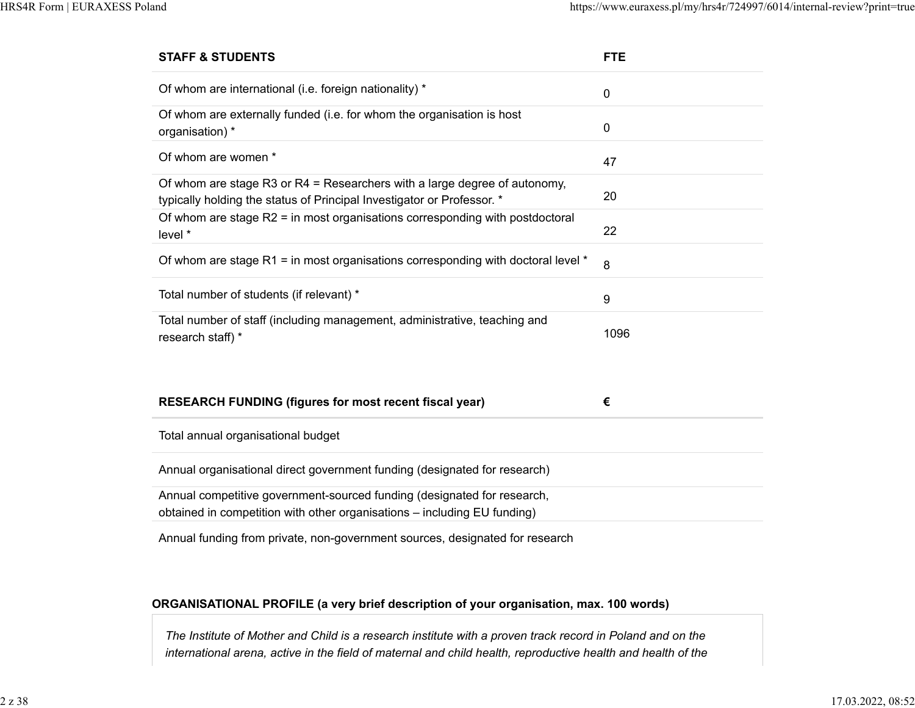| <b>STAFF &amp; STUDENTS</b>                                                                                                                         | <b>FTE</b> |
|-----------------------------------------------------------------------------------------------------------------------------------------------------|------------|
| Of whom are international (i.e. foreign nationality) *                                                                                              | 0          |
| Of whom are externally funded (i.e. for whom the organisation is host<br>organisation) *                                                            | $\pmb{0}$  |
| Of whom are women *                                                                                                                                 | 47         |
| Of whom are stage R3 or R4 = Researchers with a large degree of autonomy,<br>typically holding the status of Principal Investigator or Professor. * | 20         |
| Of whom are stage R2 = in most organisations corresponding with postdoctoral<br>level *                                                             | 22         |
| Of whom are stage $R1$ = in most organisations corresponding with doctoral level $*$                                                                | 8          |
| Total number of students (if relevant) *                                                                                                            | 9          |
| Total number of staff (including management, administrative, teaching and<br>research staff) *                                                      | 1096       |
| <b>RESEARCH FUNDING (figures for most recent fiscal year)</b>                                                                                       | €          |
| Total annual organisational budget                                                                                                                  |            |
| Annual organisational direct government funding (designated for research)                                                                           |            |
| Annual competitive government-sourced funding (designated for research,<br>obtained in competition with other organisations - including EU funding) |            |
|                                                                                                                                                     |            |

Annual funding from private, non-government sources, designated for research

#### **ORGANISATIONAL PROFILE (a very brief description of your organisation, max. 100 words)**

*The Institute of Mother and Child is a research institute with a proven track record in Poland and on the international arena, active in the field of maternal and child health, reproductive health and health of the*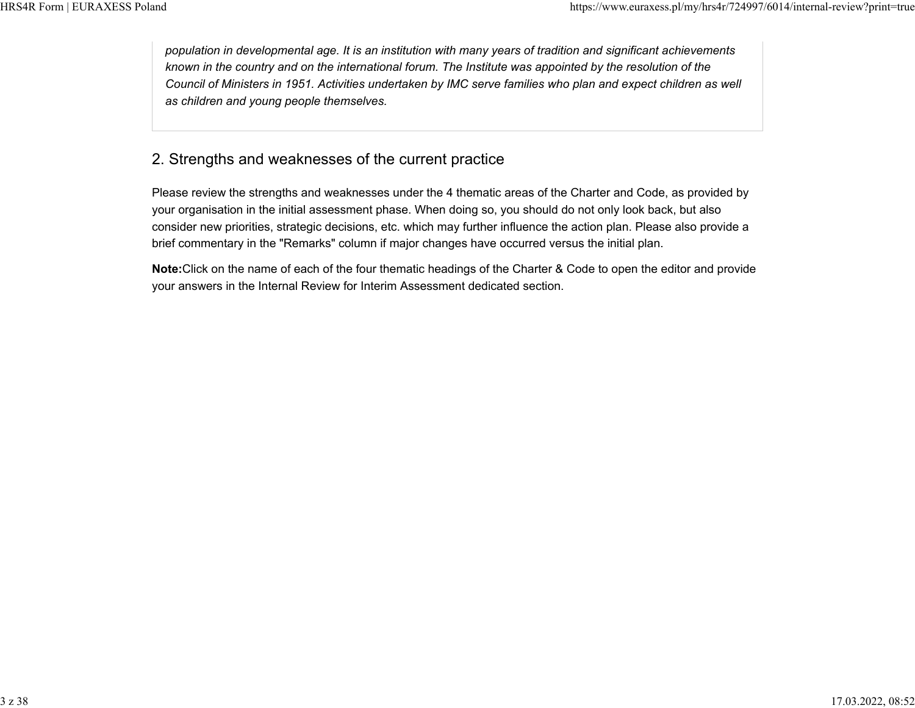*population in developmental age. It is an institution with many years of tradition and significant achievements known in the country and on the international forum. The Institute was appointed by the resolution of the Council of Ministers in 1951. Activities undertaken by IMC serve families who plan and expect children as well as children and young people themselves.*

# 2. Strengths and weaknesses of the current practice

Please review the strengths and weaknesses under the 4 thematic areas of the Charter and Code, as provided by your organisation in the initial assessment phase. When doing so, you should do not only look back, but also consider new priorities, strategic decisions, etc. which may further influence the action plan. Please also provide a brief commentary in the "Remarks" column if major changes have occurred versus the initial plan.

**Note:**Click on the name of each of the four thematic headings of the Charter & Code to open the editor and provide your answers in the Internal Review for Interim Assessment dedicated section.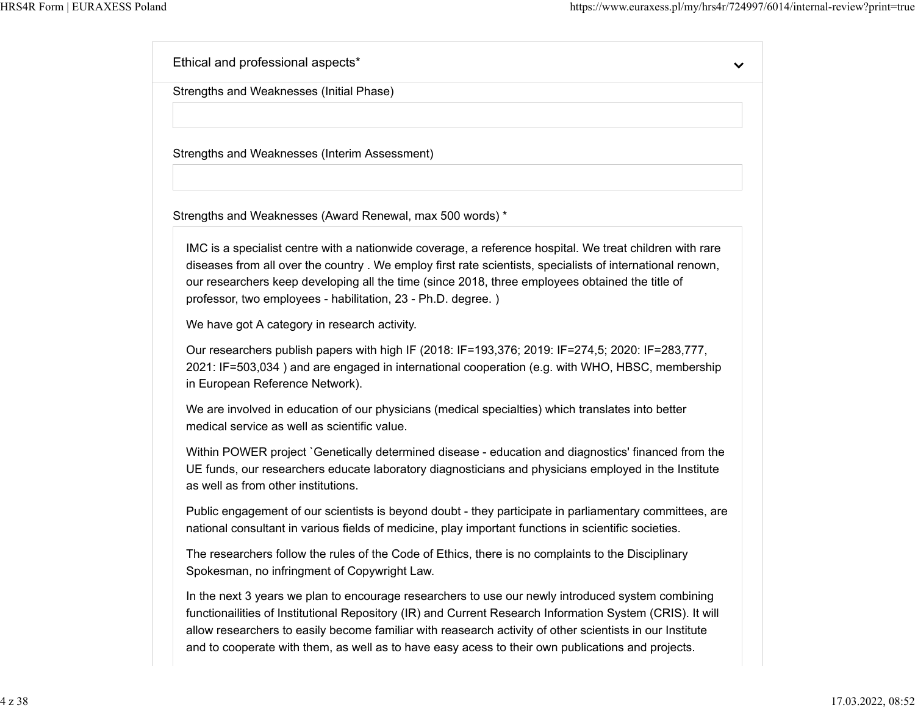Ethical and professional aspects\*  $\checkmark$ Strengths and Weaknesses (Initial Phase) Strengths and Weaknesses (Interim Assessment) Strengths and Weaknesses (Award Renewal, max 500 words) \* IMC is a specialist centre with a nationwide coverage, a reference hospital. We treat children with rare diseases from all over the country . We employ first rate scientists, specialists of international renown, our researchers keep developing all the time (since 2018, three employees obtained the title of professor, two employees - habilitation, 23 - Ph.D. degree. ) We have got A category in research activity. Our researchers publish papers with high IF (2018: IF=193,376; 2019: IF=274,5; 2020: IF=283,777, 2021: IF=503,034 ) and are engaged in international cooperation (e.g. with WHO, HBSC, membership in European Reference Network). We are involved in education of our physicians (medical specialties) which translates into better medical service as well as scientific value. Within POWER project `Genetically determined disease - education and diagnostics' financed from the UE funds, our researchers educate laboratory diagnosticians and physicians employed in the Institute as well as from other institutions. Public engagement of our scientists is beyond doubt - they participate in parliamentary committees, are national consultant in various fields of medicine, play important functions in scientific societies. The researchers follow the rules of the Code of Ethics, there is no complaints to the Disciplinary Spokesman, no infringment of Copywright Law. In the next 3 years we plan to encourage researchers to use our newly introduced system combining functionailities of Institutional Repository (IR) and Current Research Information System (CRIS). It will allow researchers to easily become familiar with reasearch activity of other scientists in our Institute and to cooperate with them, as well as to have easy acess to their own publications and projects.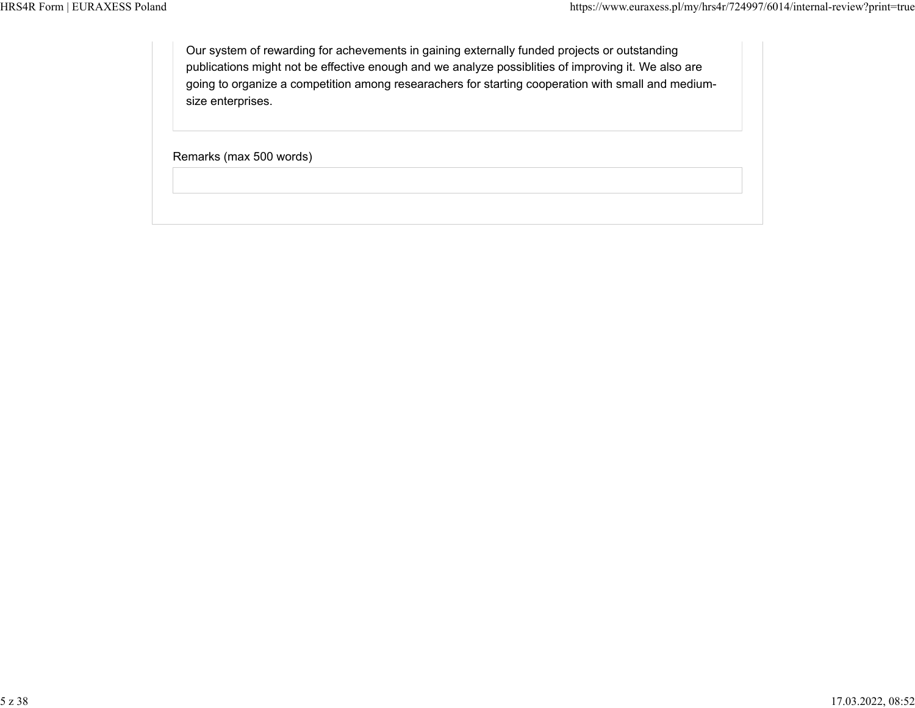Our system of rewarding for achevements in gaining externally funded projects or outstanding publications might not be effective enough and we analyze possiblities of improving it. We also are going to organize a competition among researachers for starting cooperation with small and mediumsize enterprises.

Remarks (max 500 words)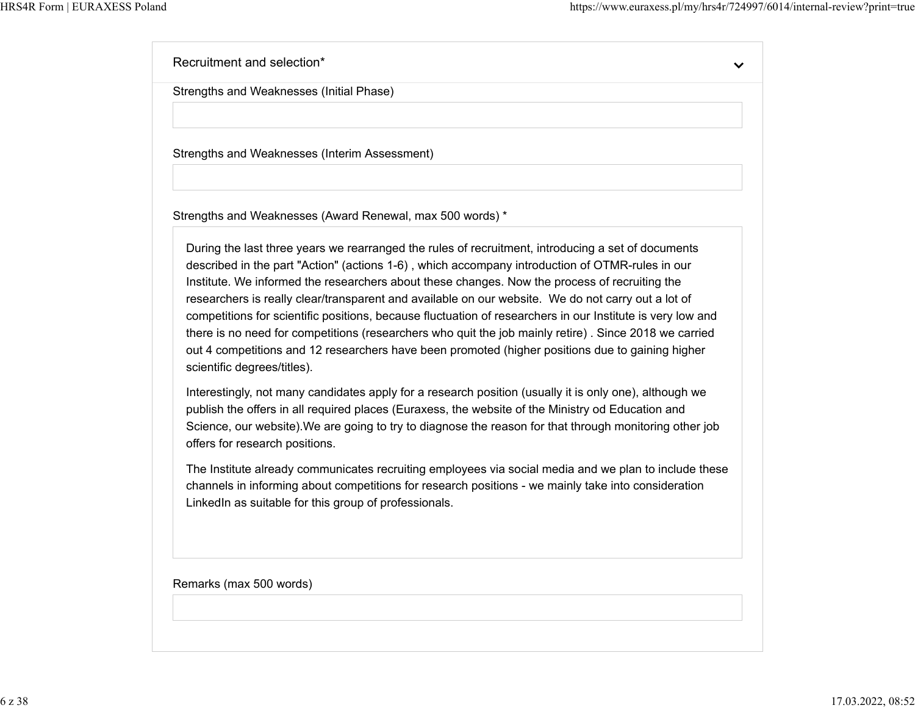Recruitment and selection\*

Strengths and Weaknesses (Initial Phase)

Strengths and Weaknesses (Interim Assessment)

Strengths and Weaknesses (Award Renewal, max 500 words) \*

During the last three years we rearranged the rules of recruitment, introducing a set of documents described in the part "Action" (actions 1-6) , which accompany introduction of OTMR-rules in our Institute. We informed the researchers about these changes. Now the process of recruiting the researchers is really clear/transparent and available on our website. We do not carry out a lot of competitions for scientific positions, because fluctuation of researchers in our Institute is very low and there is no need for competitions (researchers who quit the job mainly retire) . Since 2018 we carried out 4 competitions and 12 researchers have been promoted (higher positions due to gaining higher scientific degrees/titles).

Interestingly, not many candidates apply for a research position (usually it is only one), although we publish the offers in all required places (Euraxess, the website of the Ministry od Education and Science, our website).We are going to try to diagnose the reason for that through monitoring other job offers for research positions.

The Institute already communicates recruiting employees via social media and we plan to include these channels in informing about competitions for research positions - we mainly take into consideration LinkedIn as suitable for this group of professionals.

Remarks (max 500 words)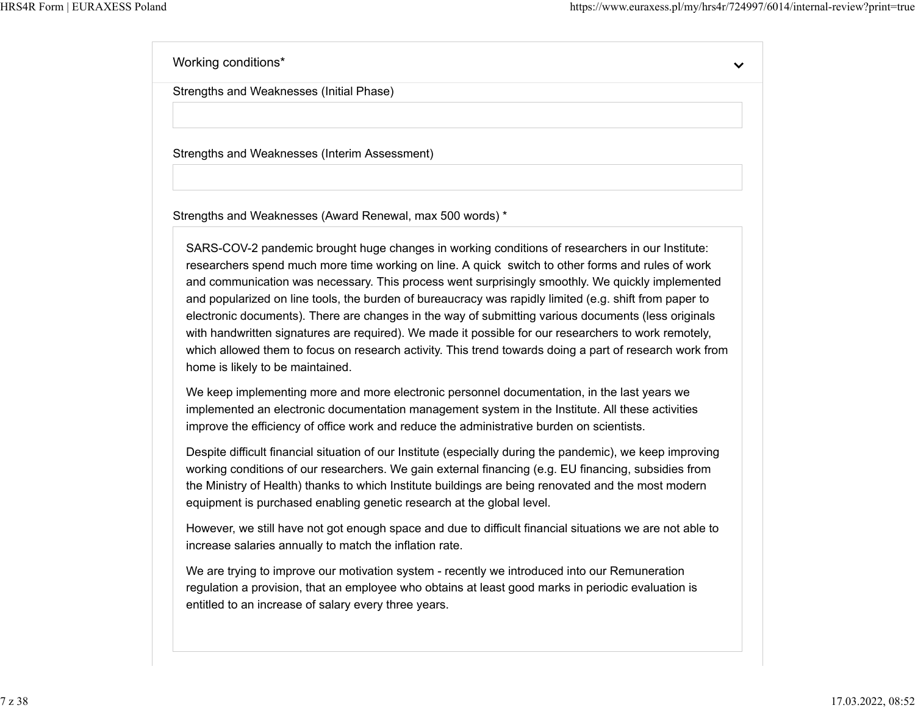Working conditions\*

 $\checkmark$ 

Strengths and Weaknesses (Initial Phase)

Strengths and Weaknesses (Interim Assessment)

Strengths and Weaknesses (Award Renewal, max 500 words) \*

SARS-COV-2 pandemic brought huge changes in working conditions of researchers in our Institute: researchers spend much more time working on line. A quick switch to other forms and rules of work and communication was necessary. This process went surprisingly smoothly. We quickly implemented and popularized on line tools, the burden of bureaucracy was rapidly limited (e.g. shift from paper to electronic documents). There are changes in the way of submitting various documents (less originals with handwritten signatures are required). We made it possible for our researchers to work remotely, which allowed them to focus on research activity. This trend towards doing a part of research work from home is likely to be maintained.

We keep implementing more and more electronic personnel documentation, in the last years we implemented an electronic documentation management system in the Institute. All these activities improve the efficiency of office work and reduce the administrative burden on scientists.

Despite difficult financial situation of our Institute (especially during the pandemic), we keep improving working conditions of our researchers. We gain external financing (e.g. EU financing, subsidies from the Ministry of Health) thanks to which Institute buildings are being renovated and the most modern equipment is purchased enabling genetic research at the global level.

However, we still have not got enough space and due to difficult financial situations we are not able to increase salaries annually to match the inflation rate.

We are trying to improve our motivation system - recently we introduced into our Remuneration regulation a provision, that an employee who obtains at least good marks in periodic evaluation is entitled to an increase of salary every three years.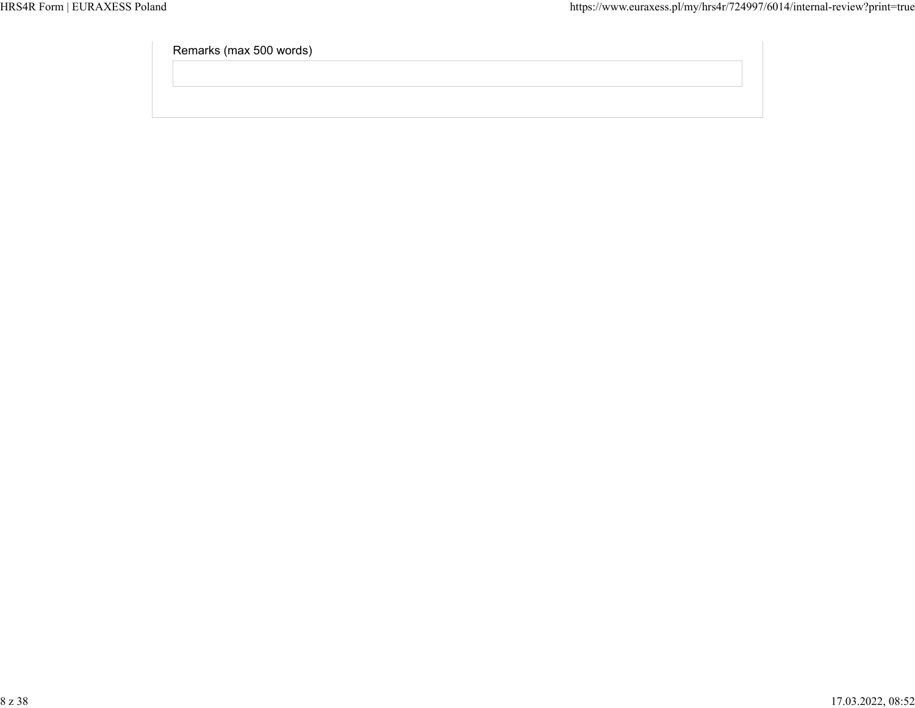Remarks (max 500 words)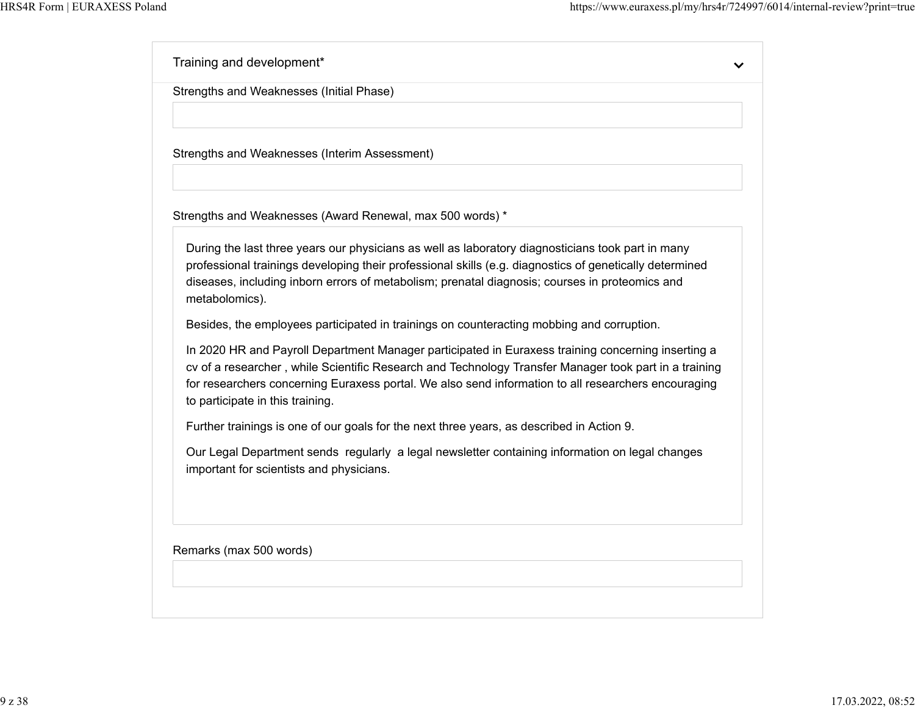$\checkmark$ 

Training and development\* Strengths and Weaknesses (Initial Phase) Strengths and Weaknesses (Interim Assessment) Strengths and Weaknesses (Award Renewal, max 500 words) \* During the last three years our physicians as well as laboratory diagnosticians took part in many professional trainings developing their professional skills (e.g. diagnostics of genetically determined diseases, including inborn errors of metabolism; prenatal diagnosis; courses in proteomics and metabolomics). Besides, the employees participated in trainings on counteracting mobbing and corruption. In 2020 HR and Payroll Department Manager participated in Euraxess training concerning inserting a cv of a researcher , while Scientific Research and Technology Transfer Manager took part in a training for researchers concerning Euraxess portal. We also send information to all researchers encouraging to participate in this training. Further trainings is one of our goals for the next three years, as described in Action 9. Our Legal Department sends regularly a legal newsletter containing information on legal changes important for scientists and physicians. Remarks (max 500 words)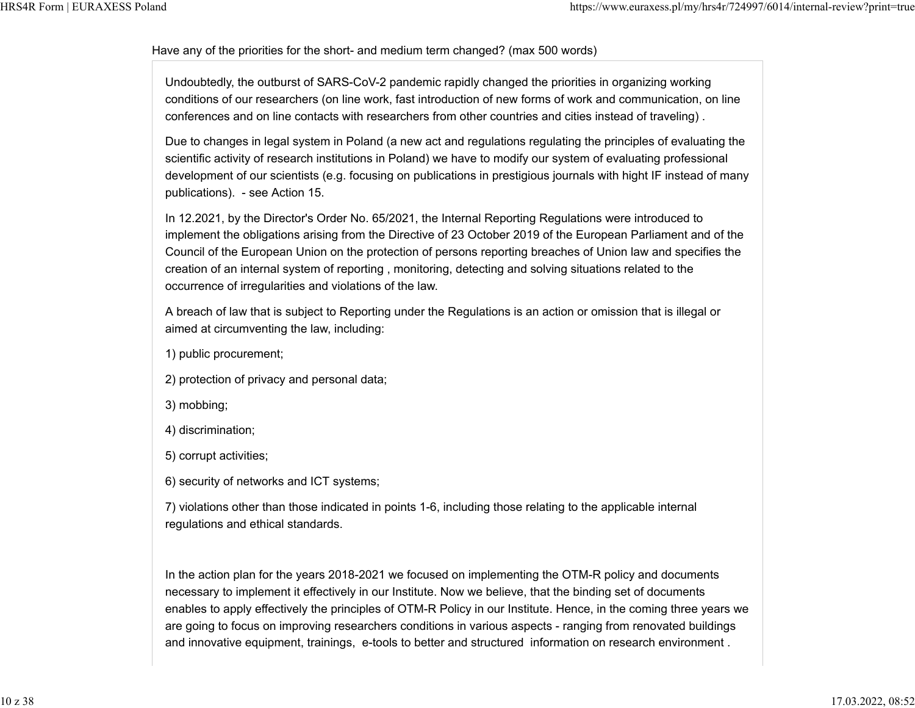#### Have any of the priorities for the short- and medium term changed? (max 500 words)

Undoubtedly, the outburst of SARS-CoV-2 pandemic rapidly changed the priorities in organizing working conditions of our researchers (on line work, fast introduction of new forms of work and communication, on line conferences and on line contacts with researchers from other countries and cities instead of traveling) .

Due to changes in legal system in Poland (a new act and regulations regulating the principles of evaluating the scientific activity of research institutions in Poland) we have to modify our system of evaluating professional development of our scientists (e.g. focusing on publications in prestigious journals with hight IF instead of many publications). - see Action 15.

In 12.2021, by the Director's Order No. 65/2021, the Internal Reporting Regulations were introduced to implement the obligations arising from the Directive of 23 October 2019 of the European Parliament and of the Council of the European Union on the protection of persons reporting breaches of Union law and specifies the creation of an internal system of reporting , monitoring, detecting and solving situations related to the occurrence of irregularities and violations of the law.

A breach of law that is subject to Reporting under the Regulations is an action or omission that is illegal or aimed at circumventing the law, including:

- 1) public procurement;
- 2) protection of privacy and personal data;
- 3) mobbing;
- 4) discrimination;
- 5) corrupt activities;
- 6) security of networks and ICT systems;

7) violations other than those indicated in points 1-6, including those relating to the applicable internal regulations and ethical standards.

In the action plan for the years 2018-2021 we focused on implementing the OTM-R policy and documents necessary to implement it effectively in our Institute. Now we believe, that the binding set of documents enables to apply effectively the principles of OTM-R Policy in our Institute. Hence, in the coming three years we are going to focus on improving researchers conditions in various aspects - ranging from renovated buildings and innovative equipment, trainings, e-tools to better and structured information on research environment .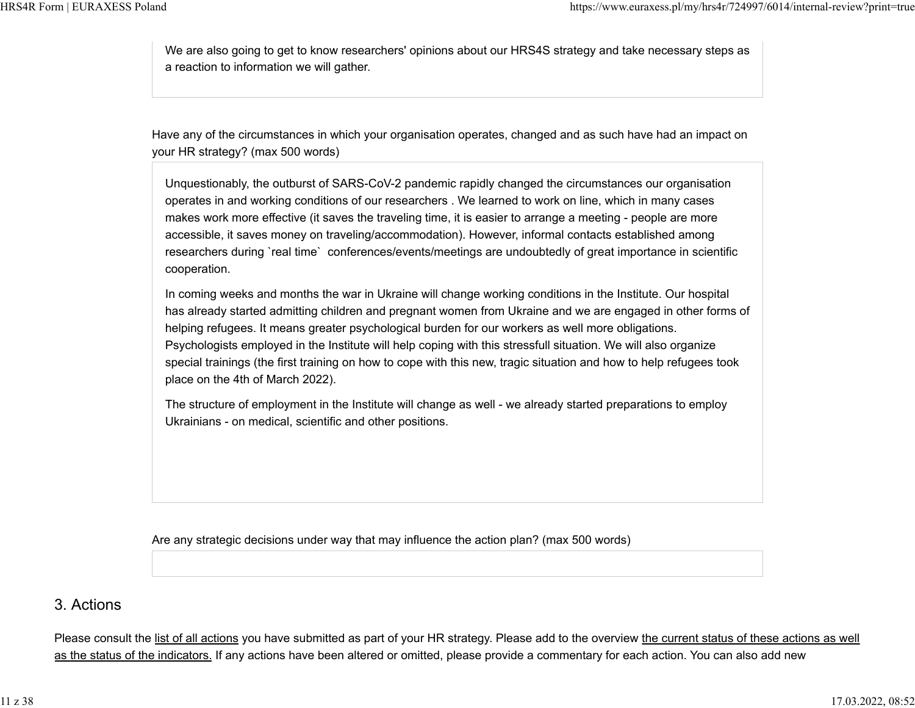We are also going to get to know researchers' opinions about our HRS4S strategy and take necessary steps as a reaction to information we will gather.

Have any of the circumstances in which your organisation operates, changed and as such have had an impact on your HR strategy? (max 500 words)

Unquestionably, the outburst of SARS-CoV-2 pandemic rapidly changed the circumstances our organisation operates in and working conditions of our researchers . We learned to work on line, which in many cases makes work more effective (it saves the traveling time, it is easier to arrange a meeting - people are more accessible, it saves money on traveling/accommodation). However, informal contacts established among researchers during `real time` conferences/events/meetings are undoubtedly of great importance in scientific cooperation.

In coming weeks and months the war in Ukraine will change working conditions in the Institute. Our hospital has already started admitting children and pregnant women from Ukraine and we are engaged in other forms of helping refugees. It means greater psychological burden for our workers as well more obligations. Psychologists employed in the Institute will help coping with this stressfull situation. We will also organize special trainings (the first training on how to cope with this new, tragic situation and how to help refugees took place on the 4th of March 2022).

The structure of employment in the Institute will change as well - we already started preparations to employ Ukrainians - on medical, scientific and other positions.

Are any strategic decisions under way that may influence the action plan? (max 500 words)

## 3. Actions

Please consult the list of all actions you have submitted as part of your HR strategy. Please add to the overview the current status of these actions as well as the status of the indicators. If any actions have been altered or omitted, please provide a commentary for each action. You can also add new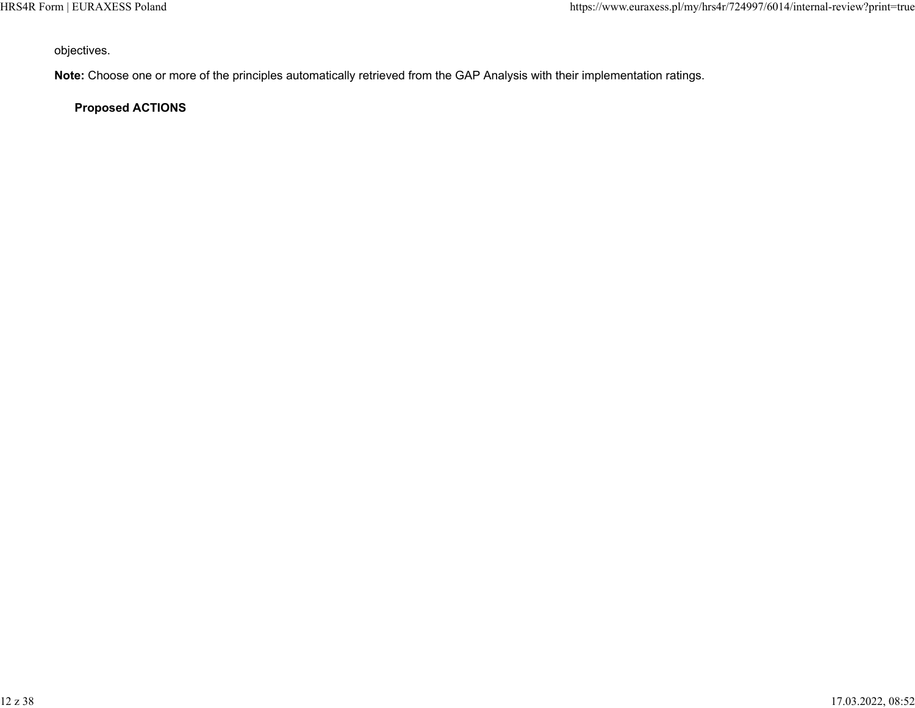objectives.

**Note:** Choose one or more of the principles automatically retrieved from the GAP Analysis with their implementation ratings.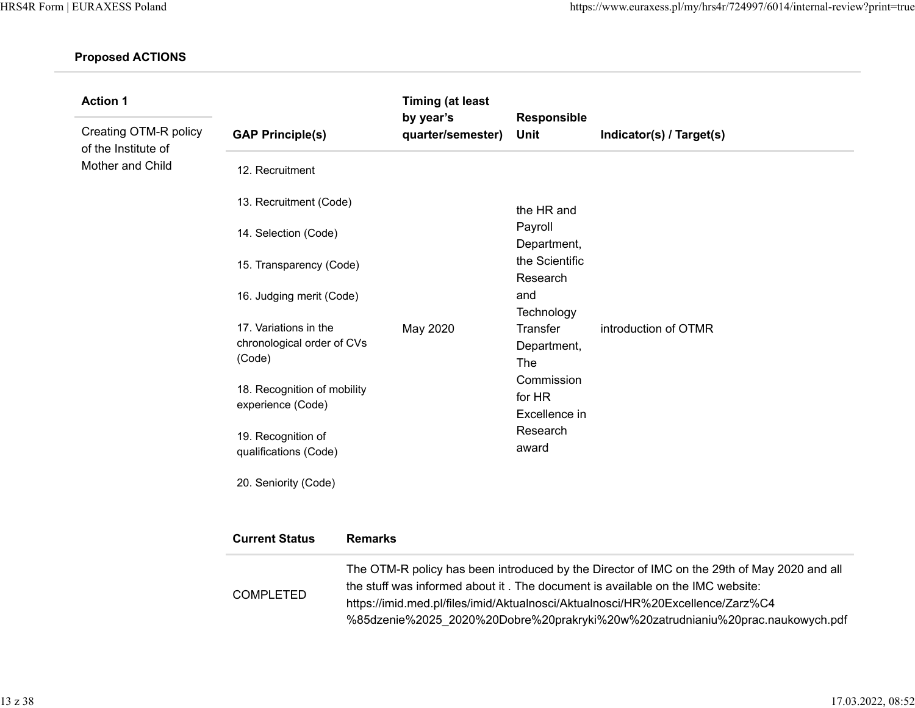| <b>Action 1</b>                              |                                                               |                | <b>Timing (at least</b><br>by year's  | Responsible                                         |                                                                                                                                                                                                                                                                                                                                                   |
|----------------------------------------------|---------------------------------------------------------------|----------------|---------------------------------------|-----------------------------------------------------|---------------------------------------------------------------------------------------------------------------------------------------------------------------------------------------------------------------------------------------------------------------------------------------------------------------------------------------------------|
| Creating OTM-R policy<br>of the Institute of | <b>GAP Principle(s)</b>                                       |                | quarter/semester)                     | Unit                                                | Indicator(s) / Target(s)                                                                                                                                                                                                                                                                                                                          |
| Mother and Child                             | 12. Recruitment                                               |                |                                       |                                                     |                                                                                                                                                                                                                                                                                                                                                   |
|                                              | 13. Recruitment (Code)                                        |                |                                       | the HR and                                          |                                                                                                                                                                                                                                                                                                                                                   |
|                                              | 14. Selection (Code)                                          |                |                                       | Payroll<br>Department,                              |                                                                                                                                                                                                                                                                                                                                                   |
|                                              | 15. Transparency (Code)                                       |                | the Scientific<br>Research            |                                                     |                                                                                                                                                                                                                                                                                                                                                   |
|                                              | 16. Judging merit (Code)                                      |                | May 2020                              | and<br>Technology<br>Transfer<br>Department,<br>The | introduction of OTMR                                                                                                                                                                                                                                                                                                                              |
|                                              | 17. Variations in the<br>chronological order of CVs<br>(Code) |                |                                       |                                                     |                                                                                                                                                                                                                                                                                                                                                   |
|                                              | 18. Recognition of mobility<br>experience (Code)              |                | Commission<br>for HR<br>Excellence in |                                                     |                                                                                                                                                                                                                                                                                                                                                   |
|                                              | 19. Recognition of<br>qualifications (Code)                   |                |                                       | Research<br>award                                   |                                                                                                                                                                                                                                                                                                                                                   |
|                                              | 20. Seniority (Code)                                          |                |                                       |                                                     |                                                                                                                                                                                                                                                                                                                                                   |
|                                              | <b>Current Status</b>                                         | <b>Remarks</b> |                                       |                                                     |                                                                                                                                                                                                                                                                                                                                                   |
|                                              | <b>COMPLETED</b>                                              |                |                                       |                                                     | The OTM-R policy has been introduced by the Director of IMC on the 29th of May 2020 and all<br>the stuff was informed about it. The document is available on the IMC website:<br>https://imid.med.pl/files/imid/Aktualnosci/Aktualnosci/HR%20Excellence/Zarz%C4<br>%85dzenie%2025 2020%20Dobre%20prakryki%20w%20zatrudnianiu%20prac.naukowych.pdf |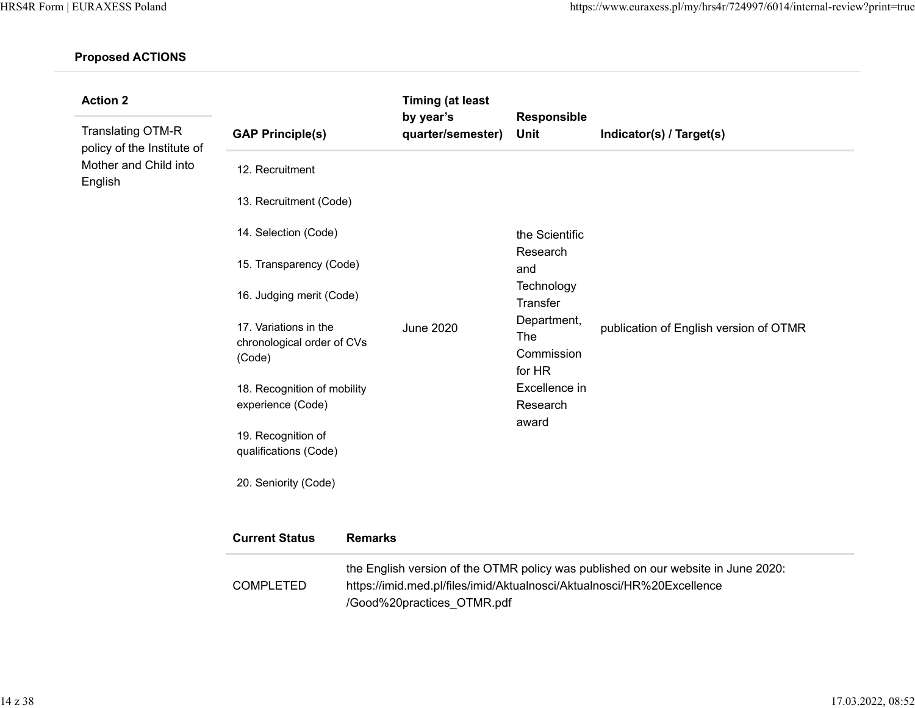| <b>Action 2</b>                                                                            |                                                               |                | <b>Timing (at least</b>        |                                                                                                   |                                                                                                                                                             |
|--------------------------------------------------------------------------------------------|---------------------------------------------------------------|----------------|--------------------------------|---------------------------------------------------------------------------------------------------|-------------------------------------------------------------------------------------------------------------------------------------------------------------|
| <b>Translating OTM-R</b><br>policy of the Institute of<br>Mother and Child into<br>English | <b>GAP Principle(s)</b>                                       |                | by year's<br>quarter/semester) | Responsible<br>Unit                                                                               | Indicator(s) / Target(s)                                                                                                                                    |
|                                                                                            | 12. Recruitment                                               |                |                                |                                                                                                   |                                                                                                                                                             |
|                                                                                            | 13. Recruitment (Code)                                        |                |                                |                                                                                                   |                                                                                                                                                             |
|                                                                                            | 14. Selection (Code)                                          |                | the Scientific                 |                                                                                                   |                                                                                                                                                             |
|                                                                                            | 15. Transparency (Code)                                       |                | Research<br>and                |                                                                                                   |                                                                                                                                                             |
|                                                                                            | 16. Judging merit (Code)                                      |                |                                | Technology<br>Transfer<br>Department,<br>The<br>Commission<br>for HR<br>Excellence in<br>Research |                                                                                                                                                             |
|                                                                                            | 17. Variations in the<br>chronological order of CVs<br>(Code) |                | <b>June 2020</b>               |                                                                                                   | publication of English version of OTMR                                                                                                                      |
|                                                                                            | 18. Recognition of mobility<br>experience (Code)              |                |                                |                                                                                                   |                                                                                                                                                             |
|                                                                                            | 19. Recognition of<br>qualifications (Code)                   |                |                                | award                                                                                             |                                                                                                                                                             |
|                                                                                            | 20. Seniority (Code)                                          |                |                                |                                                                                                   |                                                                                                                                                             |
|                                                                                            | <b>Current Status</b>                                         | <b>Remarks</b> |                                |                                                                                                   |                                                                                                                                                             |
|                                                                                            | <b>COMPLETED</b>                                              |                | /Good%20practices OTMR.pdf     |                                                                                                   | the English version of the OTMR policy was published on our website in June 2020:<br>https://imid.med.pl/files/imid/Aktualnosci/Aktualnosci/HR%20Excellence |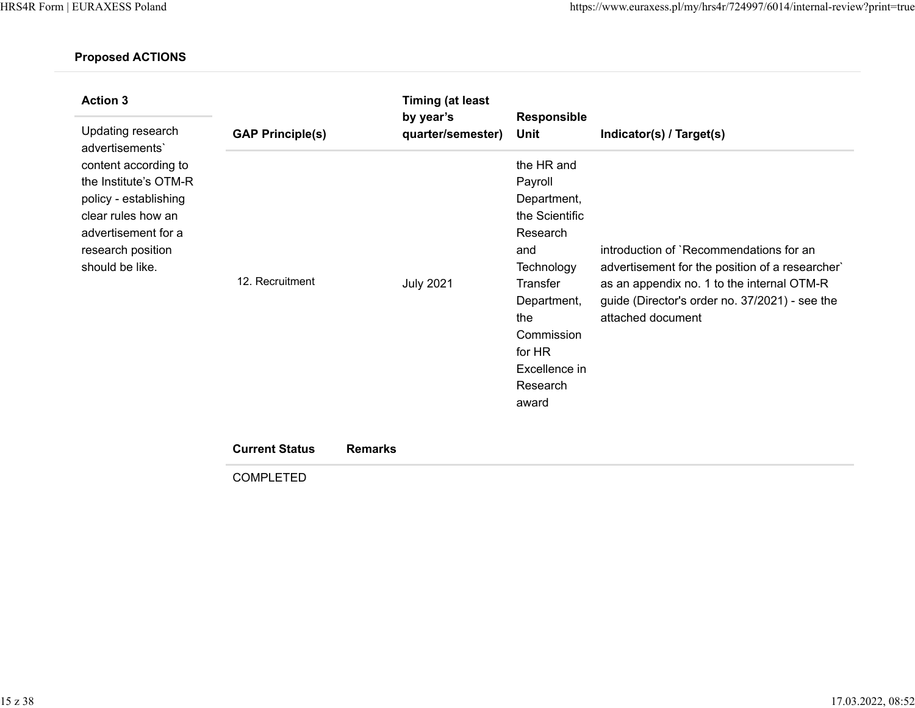| <b>Action 3</b><br>Updating research                                                                                                                                           |                                                                     | <b>Timing (at least</b><br>by year's                    | Responsible                                                                                                                                                                                     |                                                                                                                                                                                                                                             |
|--------------------------------------------------------------------------------------------------------------------------------------------------------------------------------|---------------------------------------------------------------------|---------------------------------------------------------|-------------------------------------------------------------------------------------------------------------------------------------------------------------------------------------------------|---------------------------------------------------------------------------------------------------------------------------------------------------------------------------------------------------------------------------------------------|
| advertisements'<br>content according to<br>the Institute's OTM-R<br>policy - establishing<br>clear rules how an<br>advertisement for a<br>research position<br>should be like. | <b>GAP Principle(s)</b><br>12. Recruitment<br><b>Current Status</b> | quarter/semester)<br><b>July 2021</b><br><b>Remarks</b> | Unit<br>the HR and<br>Payroll<br>Department,<br>the Scientific<br>Research<br>and<br>Technology<br>Transfer<br>Department,<br>the<br>Commission<br>for HR<br>Excellence in<br>Research<br>award | Indicator(s) / Target(s)<br>introduction of `Recommendations for an<br>advertisement for the position of a researcher`<br>as an appendix no. 1 to the internal OTM-R<br>guide (Director's order no. 37/2021) - see the<br>attached document |

COMPLETED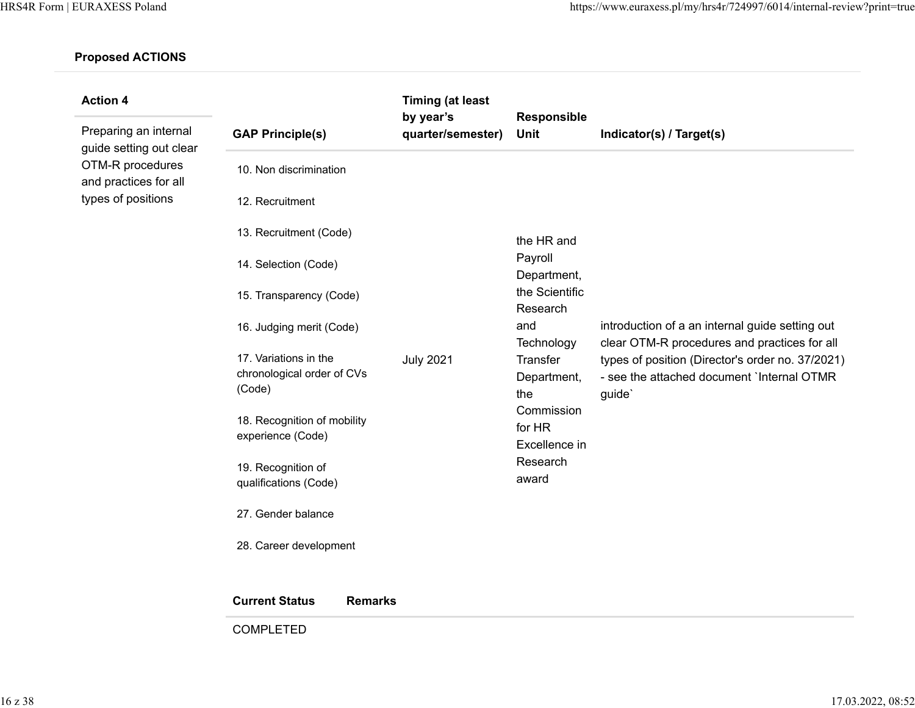| <b>Action 4</b>                                  |                                                               | <b>Timing (at least</b>        |                                       |                                                                                                                                                                                                             |
|--------------------------------------------------|---------------------------------------------------------------|--------------------------------|---------------------------------------|-------------------------------------------------------------------------------------------------------------------------------------------------------------------------------------------------------------|
| Preparing an internal<br>guide setting out clear | <b>GAP Principle(s)</b>                                       | by year's<br>quarter/semester) | <b>Responsible</b><br><b>Unit</b>     | Indicator(s) / Target(s)                                                                                                                                                                                    |
| OTM-R procedures<br>and practices for all        | 10. Non discrimination                                        |                                |                                       |                                                                                                                                                                                                             |
| types of positions                               | 12. Recruitment                                               |                                |                                       |                                                                                                                                                                                                             |
|                                                  | 13. Recruitment (Code)                                        |                                | the HR and                            |                                                                                                                                                                                                             |
|                                                  | 14. Selection (Code)                                          |                                | Payroll<br>Department,                |                                                                                                                                                                                                             |
|                                                  | 15. Transparency (Code)                                       |                                | the Scientific<br>Research            |                                                                                                                                                                                                             |
|                                                  | 16. Judging merit (Code)                                      | <b>July 2021</b>               | and<br>Technology                     | introduction of a an internal guide setting out<br>clear OTM-R procedures and practices for all<br>types of position (Director's order no. 37/2021)<br>- see the attached document `Internal OTMR<br>guide` |
|                                                  | 17. Variations in the<br>chronological order of CVs<br>(Code) |                                | Transfer<br>Department,<br>the        |                                                                                                                                                                                                             |
|                                                  | 18. Recognition of mobility<br>experience (Code)              |                                | Commission<br>for HR<br>Excellence in |                                                                                                                                                                                                             |
|                                                  | 19. Recognition of<br>qualifications (Code)                   |                                | Research<br>award                     |                                                                                                                                                                                                             |
|                                                  | 27. Gender balance                                            |                                |                                       |                                                                                                                                                                                                             |
|                                                  | 28. Career development                                        |                                |                                       |                                                                                                                                                                                                             |
|                                                  | <b>Current Status</b><br><b>Remarks</b>                       |                                |                                       |                                                                                                                                                                                                             |
|                                                  | <b>COMPLETED</b>                                              |                                |                                       |                                                                                                                                                                                                             |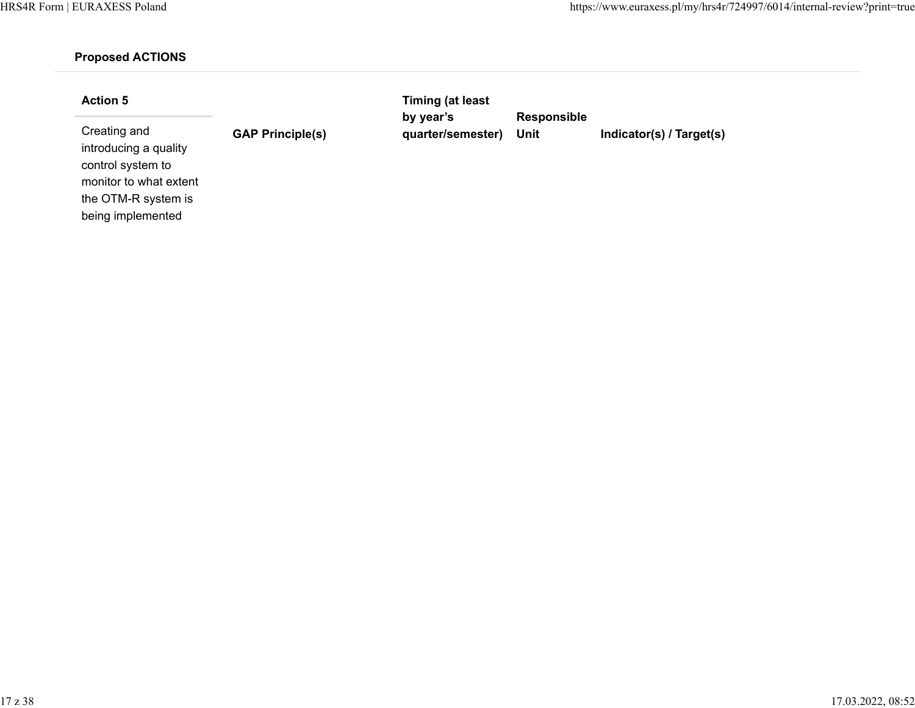monitor to what extent the OTM-R system is being implemented

| <b>Action 5</b>                                            |                         | Timing (at least               |                            |                          |
|------------------------------------------------------------|-------------------------|--------------------------------|----------------------------|--------------------------|
| Creating and<br>introducing a quality<br>control system to | <b>GAP Principle(s)</b> | by year's<br>quarter/semester) | <b>Responsible</b><br>Unit | Indicator(s) / Target(s) |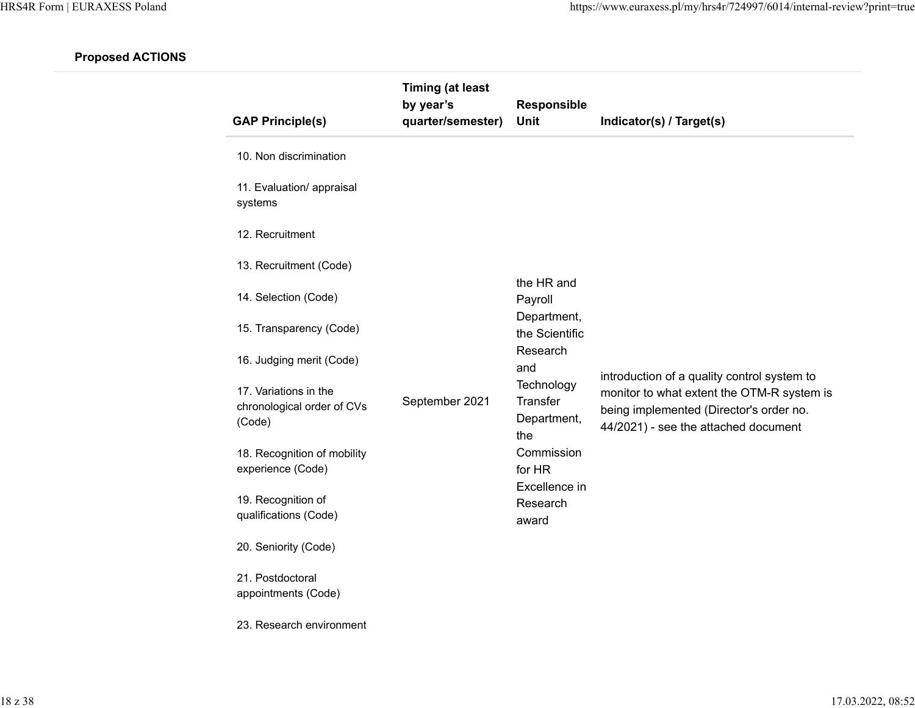| <b>GAP Principle(s)</b>                                       | <b>Timing (at least</b><br>by year's<br>quarter/semester) | Responsible<br>Unit                                 | Indicator(s) / Target(s)                                                                                                      |
|---------------------------------------------------------------|-----------------------------------------------------------|-----------------------------------------------------|-------------------------------------------------------------------------------------------------------------------------------|
| 10. Non discrimination                                        |                                                           |                                                     |                                                                                                                               |
| 11. Evaluation/ appraisal<br>systems                          |                                                           |                                                     |                                                                                                                               |
| 12. Recruitment                                               |                                                           |                                                     |                                                                                                                               |
| 13. Recruitment (Code)                                        |                                                           |                                                     |                                                                                                                               |
| 14. Selection (Code)                                          |                                                           | the HR and<br>Payroll                               |                                                                                                                               |
| 15. Transparency (Code)                                       |                                                           | Department,<br>the Scientific                       |                                                                                                                               |
| 16. Judging merit (Code)                                      |                                                           | Research<br>and                                     | introduction of a quality control system to                                                                                   |
| 17. Variations in the<br>chronological order of CVs<br>(Code) | September 2021                                            | Technology<br><b>Transfer</b><br>Department,<br>the | monitor to what extent the OTM-R system is<br>being implemented (Director's order no.<br>44/2021) - see the attached document |
| 18. Recognition of mobility<br>experience (Code)              |                                                           | Commission<br>for HR                                |                                                                                                                               |
| 19. Recognition of<br>qualifications (Code)                   |                                                           | Excellence in<br>Research<br>award                  |                                                                                                                               |
| 20. Seniority (Code)                                          |                                                           |                                                     |                                                                                                                               |
| 21. Postdoctoral<br>appointments (Code)                       |                                                           |                                                     |                                                                                                                               |

23. Research environment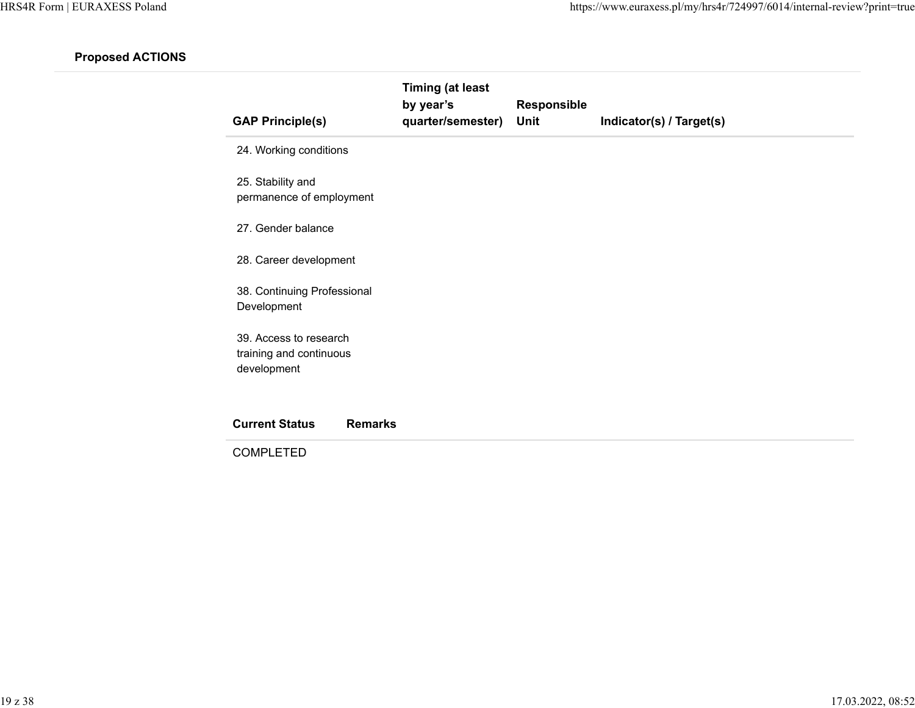| <b>GAP Principle(s)</b>                                          | <b>Timing (at least</b><br>by year's<br>quarter/semester) | Responsible<br><b>Unit</b> | Indicator(s) / Target(s) |
|------------------------------------------------------------------|-----------------------------------------------------------|----------------------------|--------------------------|
| 24. Working conditions                                           |                                                           |                            |                          |
| 25. Stability and<br>permanence of employment                    |                                                           |                            |                          |
| 27. Gender balance                                               |                                                           |                            |                          |
| 28. Career development                                           |                                                           |                            |                          |
| 38. Continuing Professional<br>Development                       |                                                           |                            |                          |
| 39. Access to research<br>training and continuous<br>development |                                                           |                            |                          |
| <b>Remarks</b><br><b>Current Status</b>                          |                                                           |                            |                          |
| <b>COMPLETED</b>                                                 |                                                           |                            |                          |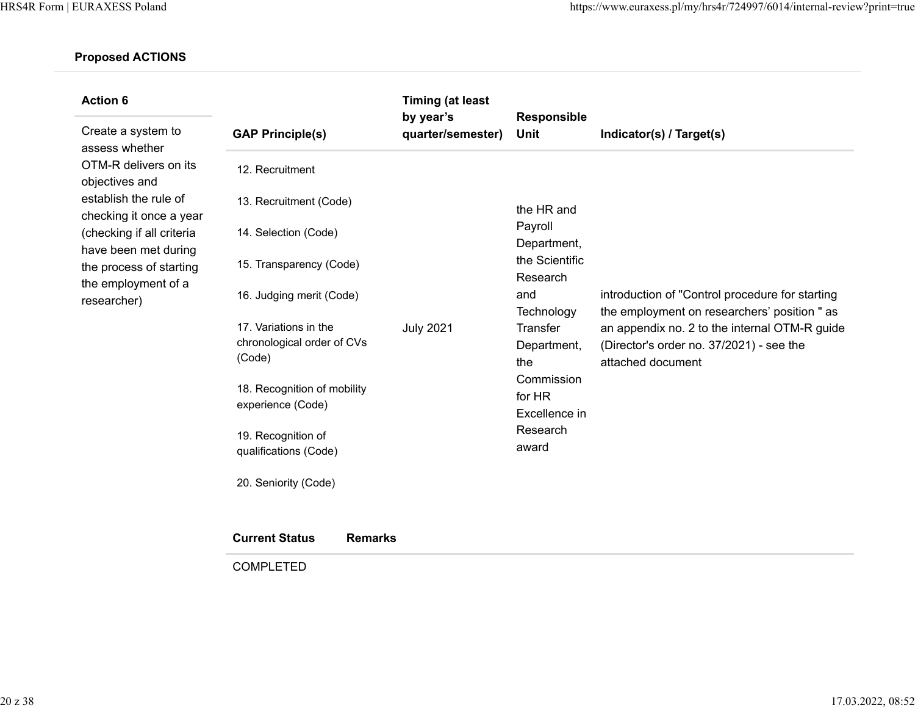| <b>Action 6</b>                                                                                                    |                                                               | <b>Timing (at least</b><br>by year's | Responsible                                                                                                                                          |                                                                                                                                                                                                                   |
|--------------------------------------------------------------------------------------------------------------------|---------------------------------------------------------------|--------------------------------------|------------------------------------------------------------------------------------------------------------------------------------------------------|-------------------------------------------------------------------------------------------------------------------------------------------------------------------------------------------------------------------|
| Create a system to<br>assess whether                                                                               | <b>GAP Principle(s)</b>                                       | quarter/semester)                    | <b>Unit</b>                                                                                                                                          | Indicator(s) / Target(s)                                                                                                                                                                                          |
| OTM-R delivers on its<br>objectives and                                                                            | 12. Recruitment                                               |                                      |                                                                                                                                                      |                                                                                                                                                                                                                   |
| establish the rule of<br>checking it once a year                                                                   | 13. Recruitment (Code)                                        |                                      | the HR and                                                                                                                                           |                                                                                                                                                                                                                   |
| (checking if all criteria<br>have been met during<br>the process of starting<br>the employment of a<br>researcher) | 14. Selection (Code)                                          | <b>July 2021</b>                     | Payroll<br>Department,<br>the Scientific<br>Research<br>and<br>Technology<br>Transfer<br>Department,<br>the<br>Commission<br>for HR<br>Excellence in |                                                                                                                                                                                                                   |
|                                                                                                                    | 15. Transparency (Code)                                       |                                      |                                                                                                                                                      | introduction of "Control procedure for starting<br>the employment on researchers' position " as<br>an appendix no. 2 to the internal OTM-R guide<br>(Director's order no. 37/2021) - see the<br>attached document |
|                                                                                                                    | 16. Judging merit (Code)                                      |                                      |                                                                                                                                                      |                                                                                                                                                                                                                   |
|                                                                                                                    | 17. Variations in the<br>chronological order of CVs<br>(Code) |                                      |                                                                                                                                                      |                                                                                                                                                                                                                   |
|                                                                                                                    | 18. Recognition of mobility<br>experience (Code)              |                                      |                                                                                                                                                      |                                                                                                                                                                                                                   |
|                                                                                                                    | 19. Recognition of<br>qualifications (Code)                   |                                      | Research<br>award                                                                                                                                    |                                                                                                                                                                                                                   |
|                                                                                                                    | 20. Seniority (Code)                                          |                                      |                                                                                                                                                      |                                                                                                                                                                                                                   |

| <b>Current Status</b> | <b>Remarks</b> |
|-----------------------|----------------|
| <b>COMPLETED</b>      |                |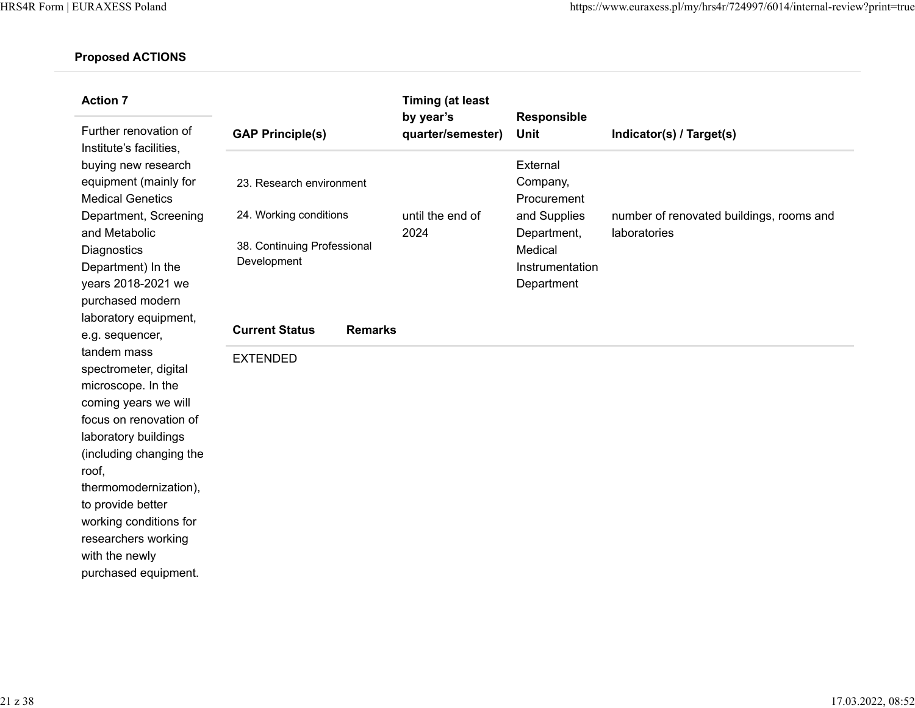| <b>Action 7</b><br>Further renovation of                                                                                                                                                                                                                                                                                                                                                                                                                                                                                                                                                     | <b>GAP Principle(s)</b>                                                                                                                                        | <b>Timing (at least</b><br>by year's<br>quarter/semester) | <b>Responsible</b><br>Unit                                                                                     | Indicator(s) / Target(s)                                 |
|----------------------------------------------------------------------------------------------------------------------------------------------------------------------------------------------------------------------------------------------------------------------------------------------------------------------------------------------------------------------------------------------------------------------------------------------------------------------------------------------------------------------------------------------------------------------------------------------|----------------------------------------------------------------------------------------------------------------------------------------------------------------|-----------------------------------------------------------|----------------------------------------------------------------------------------------------------------------|----------------------------------------------------------|
| Institute's facilities,<br>buying new research<br>equipment (mainly for<br><b>Medical Genetics</b><br>Department, Screening<br>and Metabolic<br>Diagnostics<br>Department) In the<br>years 2018-2021 we<br>purchased modern<br>laboratory equipment,<br>e.g. sequencer,<br>tandem mass<br>spectrometer, digital<br>microscope. In the<br>coming years we will<br>focus on renovation of<br>laboratory buildings<br>(including changing the<br>roof,<br>thermomodernization),<br>to provide better<br>working conditions for<br>researchers working<br>with the newly<br>purchased equipment. | 23. Research environment<br>24. Working conditions<br>38. Continuing Professional<br>Development<br><b>Current Status</b><br><b>Remarks</b><br><b>EXTENDED</b> | until the end of<br>2024                                  | External<br>Company,<br>Procurement<br>and Supplies<br>Department,<br>Medical<br>Instrumentation<br>Department | number of renovated buildings, rooms and<br>laboratories |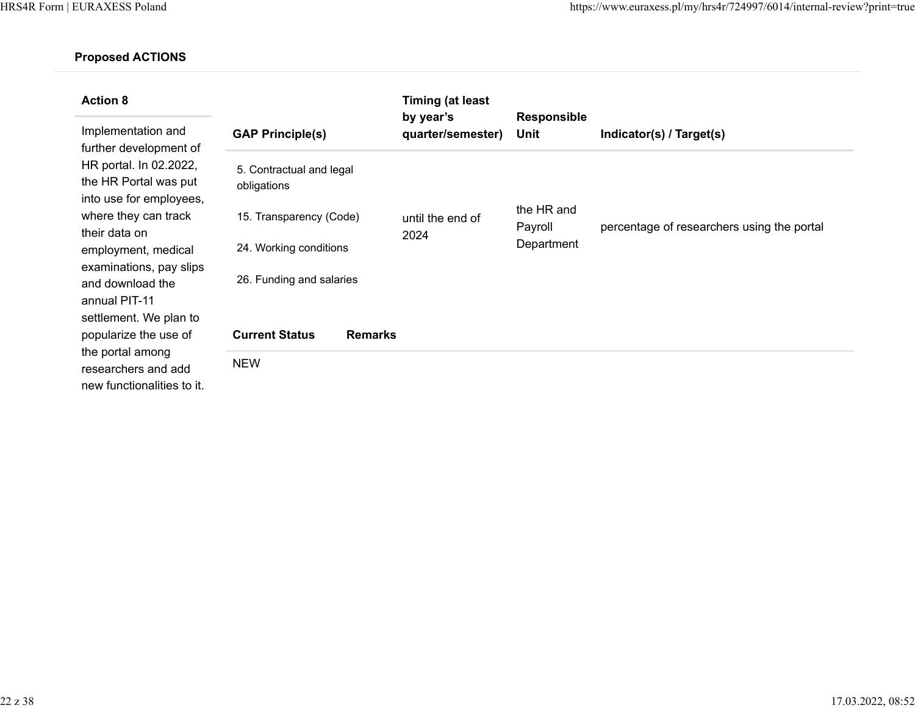| <b>Action 8</b>                                                                                                                        |                                         |                | <b>Timing (at least</b><br>by year's |                            |                                            |
|----------------------------------------------------------------------------------------------------------------------------------------|-----------------------------------------|----------------|--------------------------------------|----------------------------|--------------------------------------------|
| Implementation and<br>further development of<br>HR portal. In 02.2022,<br>the HR Portal was put<br>into use for employees,             | <b>GAP Principle(s)</b>                 |                | quarter/semester)                    | <b>Responsible</b><br>Unit | Indicator(s) / Target(s)                   |
|                                                                                                                                        | 5. Contractual and legal<br>obligations |                |                                      |                            |                                            |
| where they can track<br>their data on                                                                                                  | 15. Transparency (Code)                 |                | until the end of<br>2024             | the HR and<br>Payroll      | percentage of researchers using the portal |
| employment, medical<br>examinations, pay slips<br>and download the<br>annual PIT-11<br>settlement. We plan to<br>popularize the use of | 24. Working conditions                  |                |                                      | Department                 |                                            |
|                                                                                                                                        | 26. Funding and salaries                |                |                                      |                            |                                            |
|                                                                                                                                        | <b>Current Status</b>                   | <b>Remarks</b> |                                      |                            |                                            |
| the portal among<br>researchers and add<br>new functionalities to it.                                                                  | <b>NEW</b>                              |                |                                      |                            |                                            |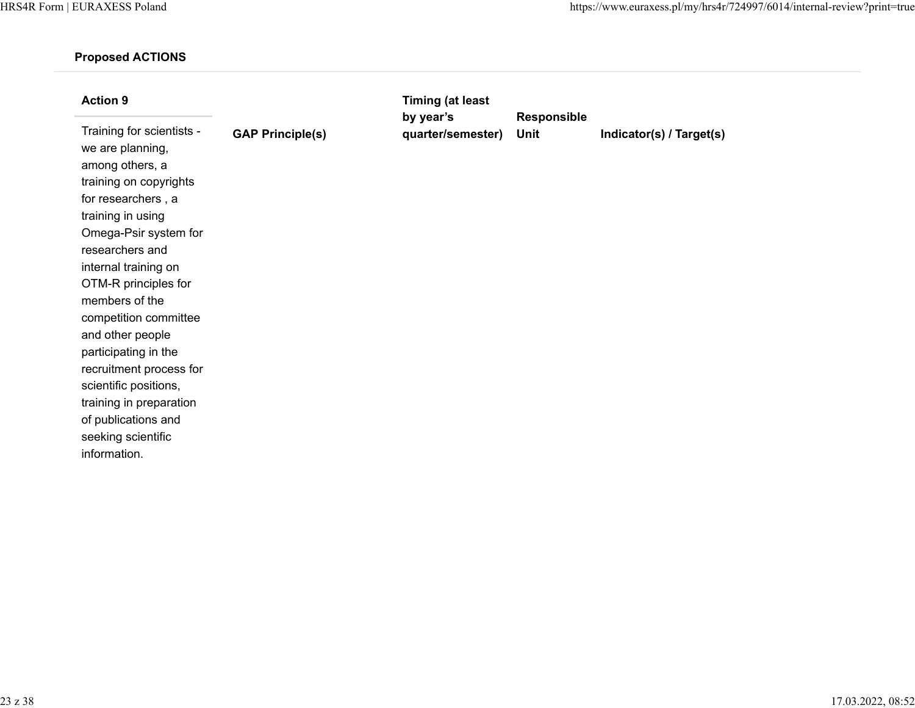| <b>Action 9</b><br>Training for scientists -<br>we are planning,<br>among others, a<br>training on copyrights<br>for researchers, a<br>training in using<br>Omega-Psir system for<br>researchers and<br>internal training on<br>OTM-R principles for<br>members of the<br>competition committee<br>and other people<br>participating in the<br>recruitment process for<br>scientific positions,<br>training in preparation | <b>GAP Principle(s)</b> | <b>Timing (at least</b><br>by year's<br>quarter/semester) | Responsible<br>Unit | Indicator(s) / Target(s) |
|----------------------------------------------------------------------------------------------------------------------------------------------------------------------------------------------------------------------------------------------------------------------------------------------------------------------------------------------------------------------------------------------------------------------------|-------------------------|-----------------------------------------------------------|---------------------|--------------------------|
| of publications and<br>seeking scientific<br>information.                                                                                                                                                                                                                                                                                                                                                                  |                         |                                                           |                     |                          |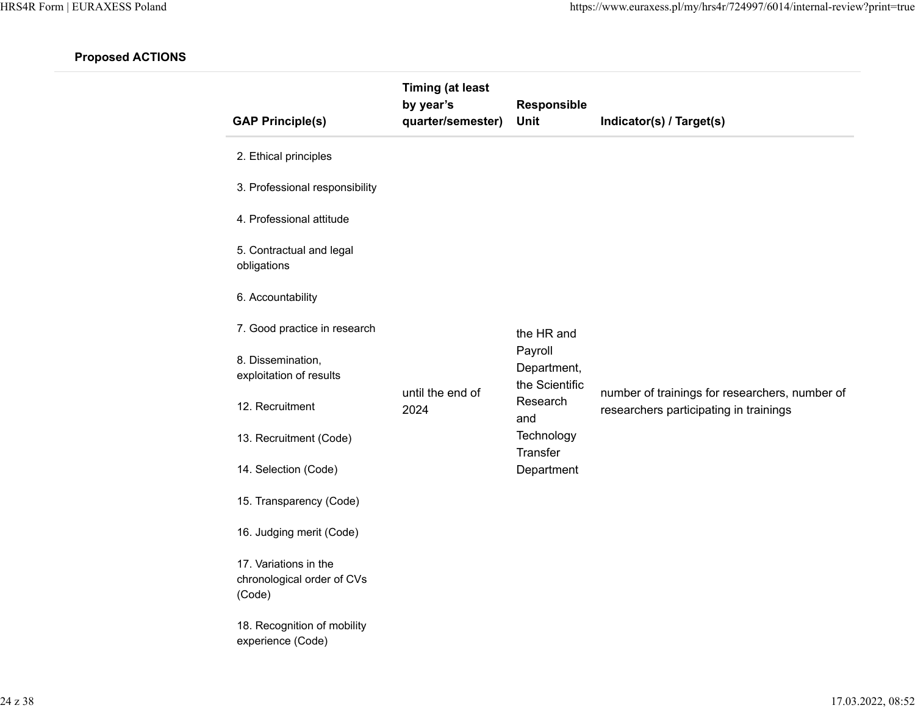| <b>GAP Principle(s)</b>                                       | <b>Timing (at least</b><br>by year's<br>quarter/semester) | <b>Responsible</b><br>Unit               | Indicator(s) / Target(s)                                                                 |
|---------------------------------------------------------------|-----------------------------------------------------------|------------------------------------------|------------------------------------------------------------------------------------------|
| 2. Ethical principles                                         |                                                           |                                          |                                                                                          |
| 3. Professional responsibility                                |                                                           |                                          |                                                                                          |
| 4. Professional attitude                                      |                                                           |                                          |                                                                                          |
| 5. Contractual and legal<br>obligations                       |                                                           |                                          |                                                                                          |
| 6. Accountability                                             |                                                           |                                          |                                                                                          |
| 7. Good practice in research                                  |                                                           | the HR and                               |                                                                                          |
| 8. Dissemination,<br>exploitation of results                  |                                                           | Payroll<br>Department,<br>the Scientific |                                                                                          |
| 12. Recruitment                                               | until the end of<br>2024                                  | Research<br>and                          | number of trainings for researchers, number of<br>researchers participating in trainings |
| 13. Recruitment (Code)                                        |                                                           | Technology<br>Transfer                   |                                                                                          |
| 14. Selection (Code)                                          |                                                           | Department                               |                                                                                          |
| 15. Transparency (Code)                                       |                                                           |                                          |                                                                                          |
| 16. Judging merit (Code)                                      |                                                           |                                          |                                                                                          |
| 17. Variations in the<br>chronological order of CVs<br>(Code) |                                                           |                                          |                                                                                          |
| 18. Recognition of mobility<br>experience (Code)              |                                                           |                                          |                                                                                          |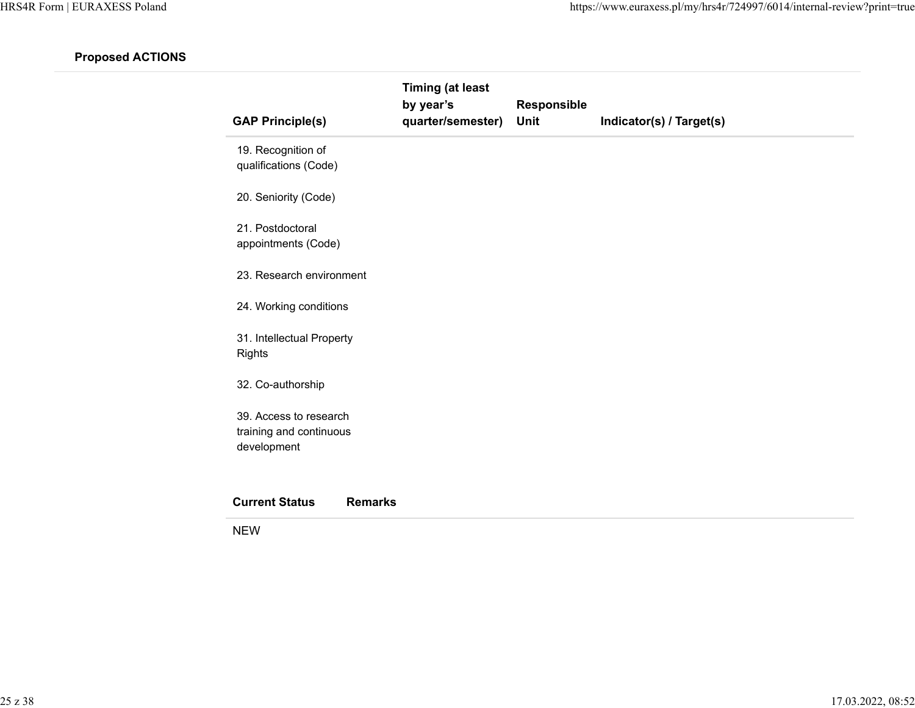| <b>GAP Principle(s)</b>                                          | <b>Timing (at least</b><br>by year's<br>quarter/semester) | Responsible<br>Unit | Indicator(s) / Target(s) |  |
|------------------------------------------------------------------|-----------------------------------------------------------|---------------------|--------------------------|--|
| 19. Recognition of<br>qualifications (Code)                      |                                                           |                     |                          |  |
| 20. Seniority (Code)                                             |                                                           |                     |                          |  |
| 21. Postdoctoral<br>appointments (Code)                          |                                                           |                     |                          |  |
| 23. Research environment                                         |                                                           |                     |                          |  |
| 24. Working conditions                                           |                                                           |                     |                          |  |
| 31. Intellectual Property<br><b>Rights</b>                       |                                                           |                     |                          |  |
| 32. Co-authorship                                                |                                                           |                     |                          |  |
| 39. Access to research<br>training and continuous<br>development |                                                           |                     |                          |  |
| <b>Current Status</b><br><b>Remarks</b>                          |                                                           |                     |                          |  |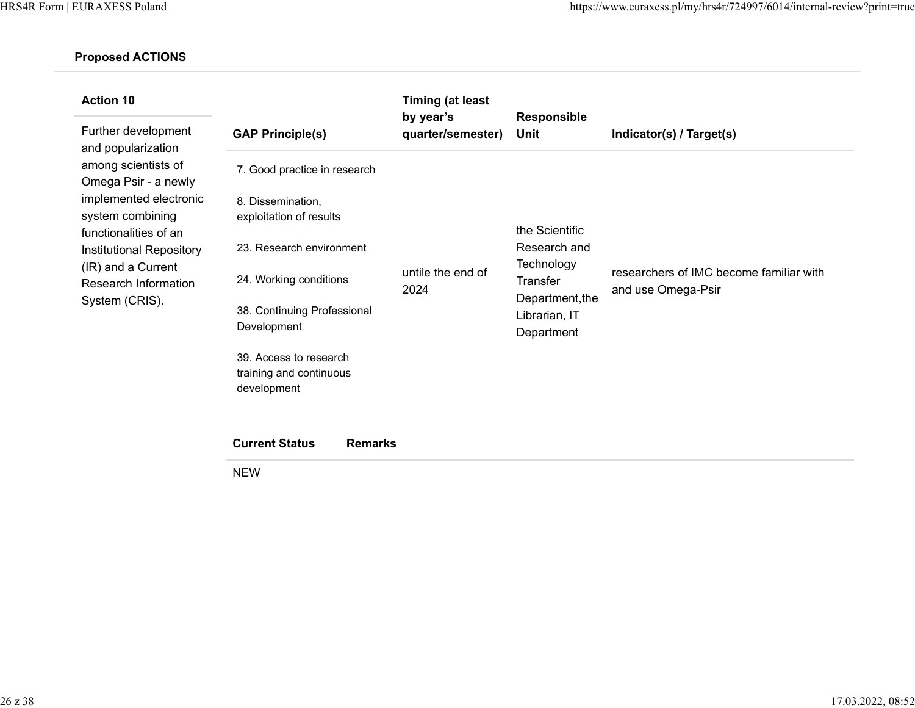| <b>Action 10</b>                            |                                            | <b>Timing (at least</b><br>by year's | <b>Responsible</b>                             |                                                               |
|---------------------------------------------|--------------------------------------------|--------------------------------------|------------------------------------------------|---------------------------------------------------------------|
| Further development<br>and popularization   | <b>GAP Principle(s)</b>                    | quarter/semester)                    | <b>Unit</b>                                    | Indicator(s) / Target(s)                                      |
| among scientists of<br>Omega Psir - a newly | 7. Good practice in research               |                                      |                                                |                                                               |
| implemented electronic                      | 8. Dissemination,                          |                                      |                                                |                                                               |
| system combining<br>functionalities of an   | exploitation of results                    |                                      | the Scientific                                 |                                                               |
| Institutional Repository                    | 23. Research environment                   | untile the end of<br>2024            | Research and<br>Technology<br>Transfer         | researchers of IMC become familiar with<br>and use Omega-Psir |
| (IR) and a Current<br>Research Information  | 24. Working conditions                     |                                      |                                                |                                                               |
| System (CRIS).                              | 38. Continuing Professional<br>Development |                                      | Department, the<br>Librarian, IT<br>Department |                                                               |
|                                             | 39. Access to research                     |                                      |                                                |                                                               |
|                                             | training and continuous<br>development     |                                      |                                                |                                                               |
|                                             |                                            |                                      |                                                |                                                               |
|                                             | <b>Current Status</b><br><b>Remarks</b>    |                                      |                                                |                                                               |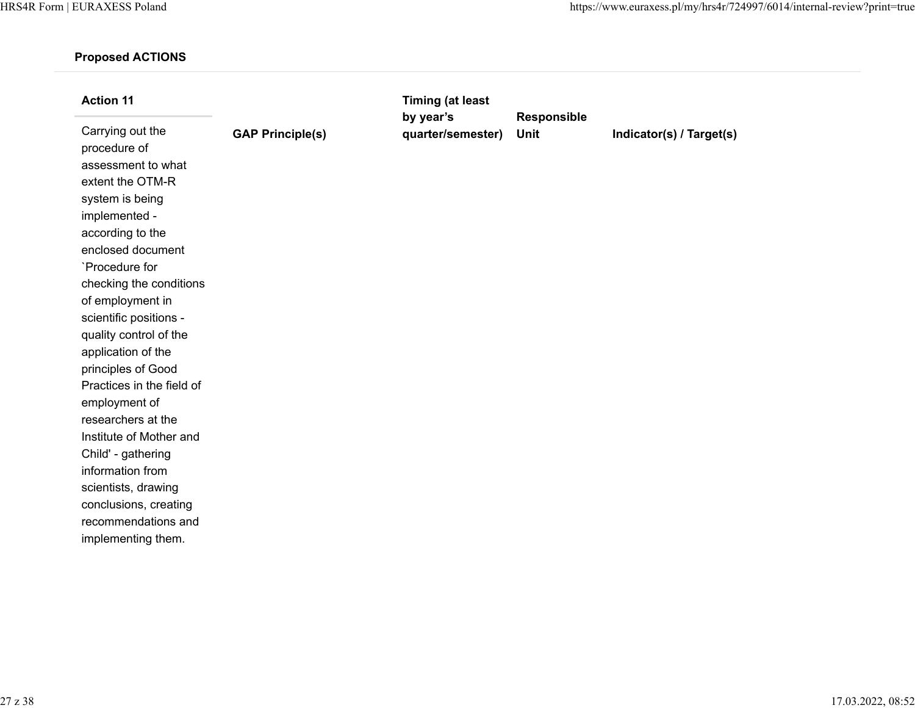| <b>Action 11</b>                                                                                                                                                                                                                                                                                                                                                                                                                                                  |                         | <b>Timing (at least</b>        |                     |                          |
|-------------------------------------------------------------------------------------------------------------------------------------------------------------------------------------------------------------------------------------------------------------------------------------------------------------------------------------------------------------------------------------------------------------------------------------------------------------------|-------------------------|--------------------------------|---------------------|--------------------------|
| Carrying out the<br>procedure of<br>assessment to what<br>extent the OTM-R<br>system is being<br>implemented -<br>according to the<br>enclosed document<br>`Procedure for<br>checking the conditions<br>of employment in<br>scientific positions -<br>quality control of the<br>application of the<br>principles of Good<br>Practices in the field of<br>employment of<br>researchers at the<br>Institute of Mother and<br>Child' - gathering<br>information from | <b>GAP Principle(s)</b> | by year's<br>quarter/semester) | Responsible<br>Unit | Indicator(s) / Target(s) |
| scientists, drawing                                                                                                                                                                                                                                                                                                                                                                                                                                               |                         |                                |                     |                          |
| conclusions, creating<br>recommendations and<br>implementing them.                                                                                                                                                                                                                                                                                                                                                                                                |                         |                                |                     |                          |
|                                                                                                                                                                                                                                                                                                                                                                                                                                                                   |                         |                                |                     |                          |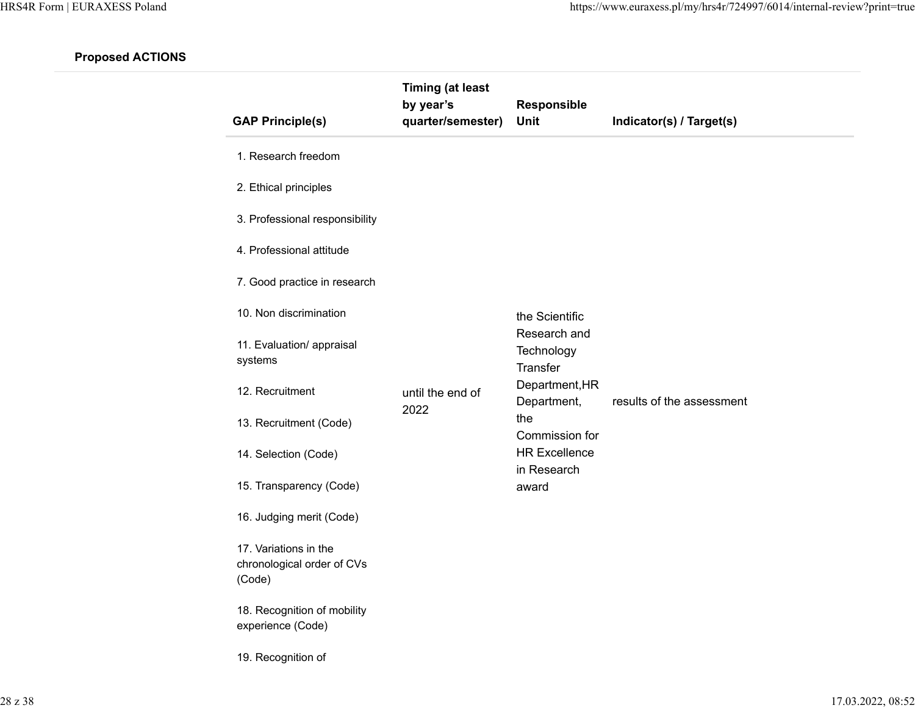| <b>GAP Principle(s)</b>                                       | <b>Timing (at least</b><br>by year's<br>quarter/semester) | Responsible<br>Unit                    | Indicator(s) / Target(s)  |
|---------------------------------------------------------------|-----------------------------------------------------------|----------------------------------------|---------------------------|
| 1. Research freedom                                           |                                                           |                                        |                           |
| 2. Ethical principles                                         |                                                           |                                        |                           |
| 3. Professional responsibility                                |                                                           |                                        |                           |
| 4. Professional attitude                                      |                                                           |                                        |                           |
| 7. Good practice in research                                  |                                                           |                                        |                           |
| 10. Non discrimination                                        |                                                           | the Scientific                         |                           |
| 11. Evaluation/ appraisal<br>systems                          |                                                           | Research and<br>Technology<br>Transfer |                           |
| 12. Recruitment                                               | until the end of                                          | Department, HR<br>Department,          | results of the assessment |
| 13. Recruitment (Code)                                        | 2022                                                      | the<br>Commission for                  |                           |
| 14. Selection (Code)                                          |                                                           | <b>HR Excellence</b>                   |                           |
| 15. Transparency (Code)                                       |                                                           | in Research<br>award                   |                           |
| 16. Judging merit (Code)                                      |                                                           |                                        |                           |
| 17. Variations in the<br>chronological order of CVs<br>(Code) |                                                           |                                        |                           |
| 18. Recognition of mobility<br>experience (Code)              |                                                           |                                        |                           |
| 19. Recognition of                                            |                                                           |                                        |                           |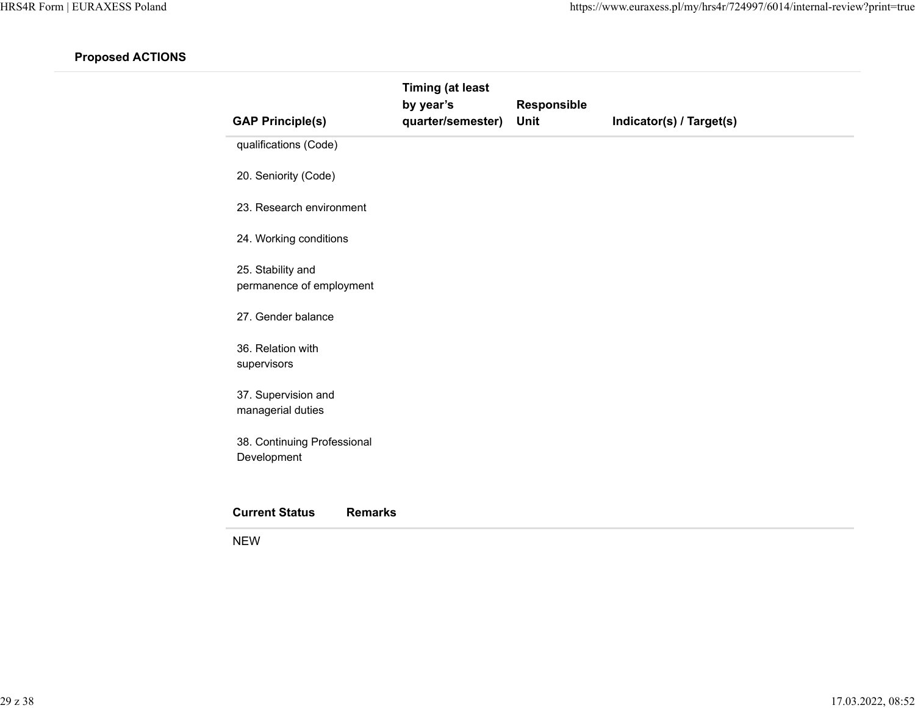| <b>GAP Principle(s)</b>                       | <b>Timing (at least</b><br>by year's<br>quarter/semester) | Responsible<br>Unit | Indicator(s) / Target(s) |
|-----------------------------------------------|-----------------------------------------------------------|---------------------|--------------------------|
| qualifications (Code)                         |                                                           |                     |                          |
| 20. Seniority (Code)                          |                                                           |                     |                          |
| 23. Research environment                      |                                                           |                     |                          |
| 24. Working conditions                        |                                                           |                     |                          |
| 25. Stability and<br>permanence of employment |                                                           |                     |                          |
| 27. Gender balance                            |                                                           |                     |                          |
| 36. Relation with<br>supervisors              |                                                           |                     |                          |
| 37. Supervision and<br>managerial duties      |                                                           |                     |                          |
| 38. Continuing Professional<br>Development    |                                                           |                     |                          |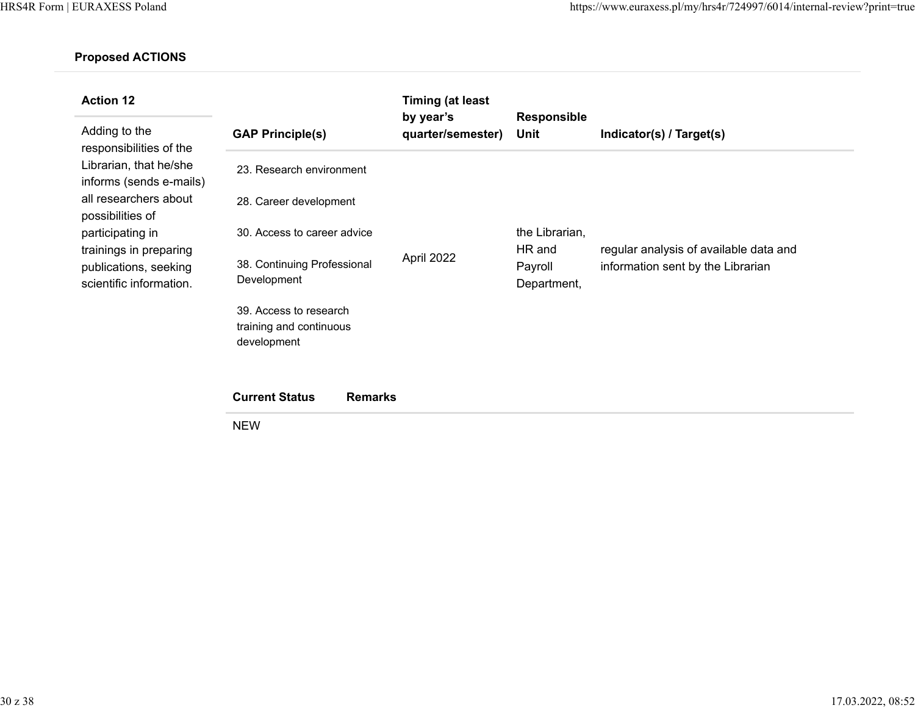| <b>Action 12</b><br>Adding to the<br>responsibilities of the<br>Librarian, that he/she<br>informs (sends e-mails)<br>all researchers about<br>possibilities of<br>participating in<br>trainings in preparing<br>publications, seeking<br>scientific information. | <b>GAP Principle(s)</b>                                          | <b>Timing (at least</b><br>by year's<br>quarter/semester) | <b>Responsible</b><br>Unit                         | Indicator(s) / Target(s)                                                    |
|------------------------------------------------------------------------------------------------------------------------------------------------------------------------------------------------------------------------------------------------------------------|------------------------------------------------------------------|-----------------------------------------------------------|----------------------------------------------------|-----------------------------------------------------------------------------|
|                                                                                                                                                                                                                                                                  | 23. Research environment                                         |                                                           |                                                    |                                                                             |
|                                                                                                                                                                                                                                                                  | 28. Career development                                           | April 2022                                                | the Librarian,<br>HR and<br>Payroll<br>Department, | regular analysis of available data and<br>information sent by the Librarian |
|                                                                                                                                                                                                                                                                  | 30. Access to career advice                                      |                                                           |                                                    |                                                                             |
|                                                                                                                                                                                                                                                                  | 38. Continuing Professional<br>Development                       |                                                           |                                                    |                                                                             |
|                                                                                                                                                                                                                                                                  | 39. Access to research<br>training and continuous<br>development |                                                           |                                                    |                                                                             |
|                                                                                                                                                                                                                                                                  | <b>Current Status</b><br><b>Remarks</b>                          |                                                           |                                                    |                                                                             |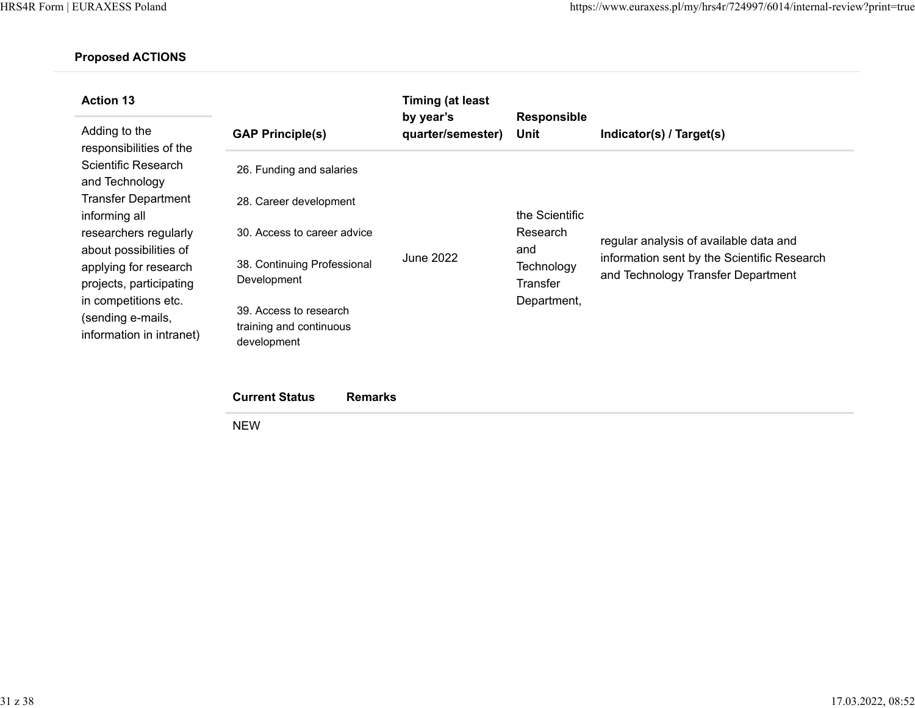| <b>Action 13</b><br>Adding to the<br>responsibilities of the          | <b>GAP Principle(s)</b>                                          | <b>Timing (at least</b><br>by year's<br>quarter/semester) | <b>Responsible</b><br>Unit | Indicator(s) / Target(s)                                                          |
|-----------------------------------------------------------------------|------------------------------------------------------------------|-----------------------------------------------------------|----------------------------|-----------------------------------------------------------------------------------|
| Scientific Research<br>and Technology                                 | 26. Funding and salaries                                         |                                                           |                            |                                                                                   |
| <b>Transfer Department</b><br>informing all                           | 28. Career development                                           |                                                           | the Scientific             |                                                                                   |
| researchers regularly<br>about possibilities of                       | 30. Access to career advice                                      |                                                           | Research<br>and            | regular analysis of available data and                                            |
| applying for research<br>projects, participating                      | 38. Continuing Professional<br>Development                       | June 2022                                                 | Technology<br>Transfer     | information sent by the Scientific Research<br>and Technology Transfer Department |
| in competitions etc.<br>(sending e-mails,<br>information in intranet) | 39. Access to research<br>training and continuous<br>development |                                                           | Department,                |                                                                                   |

| <b>Current Status</b> | <b>Remarks</b> |
|-----------------------|----------------|
|-----------------------|----------------|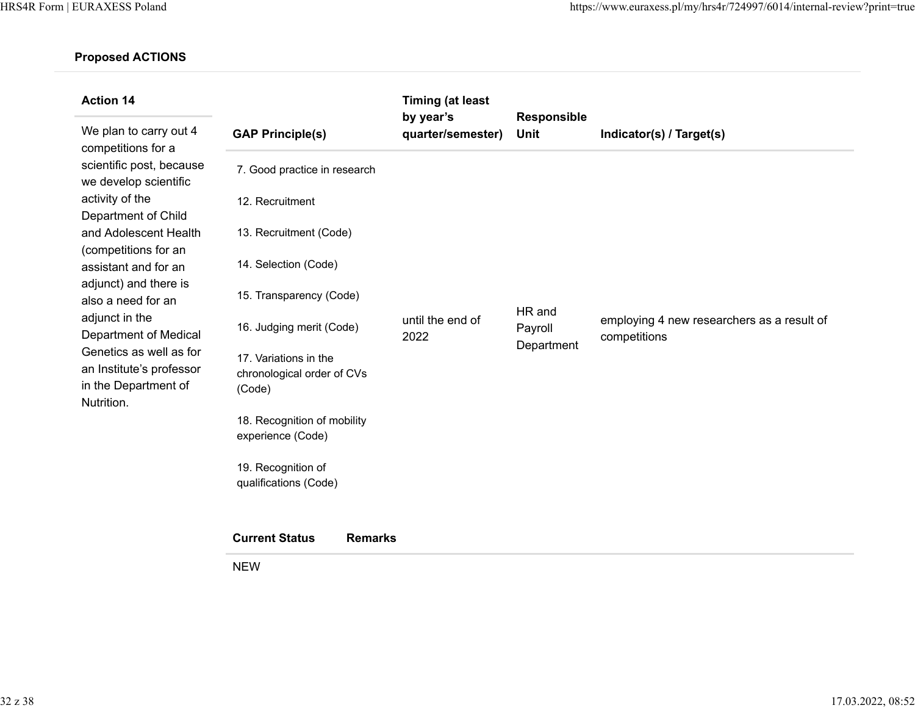| <b>Action 14</b>                                                                                                                                                                           |                                                               | <b>Timing (at least</b>        |                                 |                                                            |
|--------------------------------------------------------------------------------------------------------------------------------------------------------------------------------------------|---------------------------------------------------------------|--------------------------------|---------------------------------|------------------------------------------------------------|
| We plan to carry out 4<br>competitions for a<br>scientific post, because<br>we develop scientific<br>activity of the<br>Department of Child                                                | <b>GAP Principle(s)</b>                                       | by year's<br>quarter/semester) | <b>Responsible</b><br>Unit      | Indicator(s) / Target(s)                                   |
|                                                                                                                                                                                            | 7. Good practice in research                                  |                                |                                 |                                                            |
|                                                                                                                                                                                            | 12. Recruitment                                               |                                |                                 |                                                            |
| and Adolescent Health<br>(competitions for an                                                                                                                                              | 13. Recruitment (Code)                                        |                                |                                 |                                                            |
| assistant and for an                                                                                                                                                                       | 14. Selection (Code)                                          |                                |                                 |                                                            |
| adjunct) and there is<br>also a need for an<br>adjunct in the<br><b>Department of Medical</b><br>Genetics as well as for<br>an Institute's professor<br>in the Department of<br>Nutrition. | 15. Transparency (Code)                                       | until the end of<br>2022       | HR and<br>Payroll<br>Department | employing 4 new researchers as a result of<br>competitions |
|                                                                                                                                                                                            | 16. Judging merit (Code)                                      |                                |                                 |                                                            |
|                                                                                                                                                                                            | 17. Variations in the<br>chronological order of CVs<br>(Code) |                                |                                 |                                                            |
|                                                                                                                                                                                            | 18. Recognition of mobility                                   |                                |                                 |                                                            |
|                                                                                                                                                                                            | experience (Code)                                             |                                |                                 |                                                            |
|                                                                                                                                                                                            | 19. Recognition of<br>qualifications (Code)                   |                                |                                 |                                                            |
|                                                                                                                                                                                            | <b>Current Status</b><br><b>Remarks</b>                       |                                |                                 |                                                            |
|                                                                                                                                                                                            | <b>NEW</b>                                                    |                                |                                 |                                                            |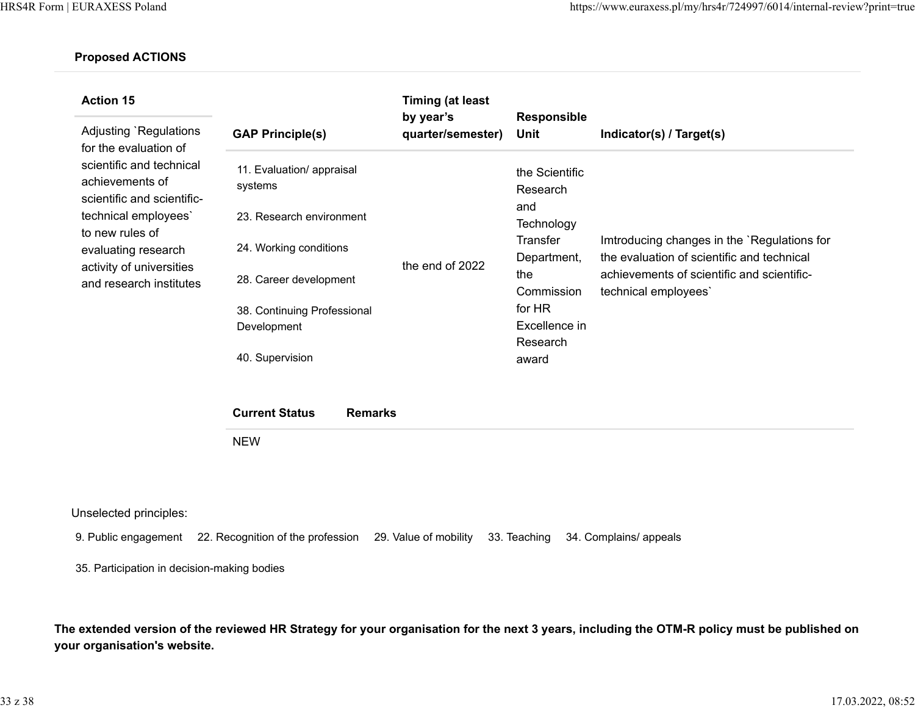| <b>Action 15</b><br>Adjusting `Regulations<br>for the evaluation of<br>scientific and technical<br>achievements of<br>scientific and scientific-<br>technical employees'<br>to new rules of<br>evaluating research<br>activity of universities<br>and research institutes | <b>GAP Principle(s)</b>              | Timing (at least<br>by year's<br>quarter/semester) | <b>Responsible</b><br>Unit | Indicator(s) / Target(s)                                                                  |
|---------------------------------------------------------------------------------------------------------------------------------------------------------------------------------------------------------------------------------------------------------------------------|--------------------------------------|----------------------------------------------------|----------------------------|-------------------------------------------------------------------------------------------|
|                                                                                                                                                                                                                                                                           | 11. Evaluation/ appraisal<br>systems | the end of 2022                                    | the Scientific<br>Research |                                                                                           |
|                                                                                                                                                                                                                                                                           | 23. Research environment             |                                                    | and<br>Technology          |                                                                                           |
|                                                                                                                                                                                                                                                                           | 24. Working conditions               |                                                    | Transfer<br>Department,    | Imtroducing changes in the `Regulations for<br>the evaluation of scientific and technical |
|                                                                                                                                                                                                                                                                           | 28. Career development               |                                                    | the<br>Commission          | achievements of scientific and scientific-<br>technical employees`                        |
|                                                                                                                                                                                                                                                                           | 38. Continuing Professional          |                                                    | for HR                     |                                                                                           |
|                                                                                                                                                                                                                                                                           | Development                          |                                                    | Excellence in              |                                                                                           |
|                                                                                                                                                                                                                                                                           | 40. Supervision                      |                                                    | Research<br>award          |                                                                                           |

| <b>Current Status</b> | Remarks |
|-----------------------|---------|
| <b>NEW</b>            |         |

Unselected principles:

9. Public engagement 22. Recognition of the profession 29. Value of mobility 33. Teaching 34. Complains/ appeals

35. Participation in decision-making bodies

**The extended version of the reviewed HR Strategy for your organisation for the next 3 years, including the OTM-R policy must be published on your organisation's website.**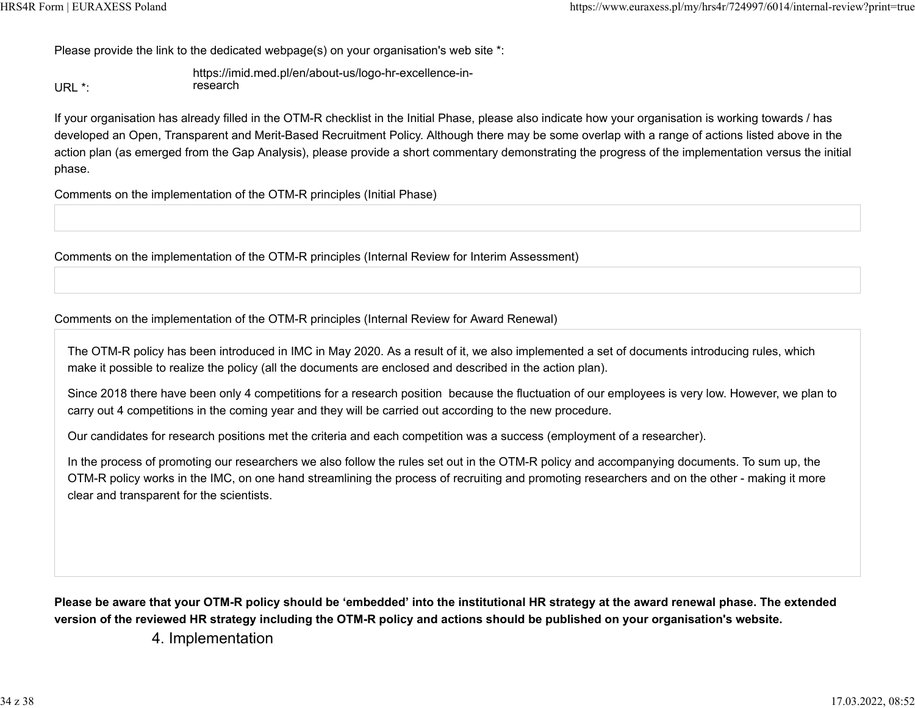Please provide the link to the dedicated webpage(s) on your organisation's web site \*:

URL \*: [https://imid.med.pl/en/about-us/logo-hr-excellence-in](https://imid.med.pl/en/about-us/logo-hr-excellence-in-research)[research](https://imid.med.pl/en/about-us/logo-hr-excellence-in-research)

If your organisation has already filled in the OTM-R checklist in the Initial Phase, please also indicate how your organisation is working towards / has developed an Open, Transparent and Merit-Based Recruitment Policy. Although there may be some overlap with a range of actions listed above in the action plan (as emerged from the Gap Analysis), please provide a short commentary demonstrating the progress of the implementation versus the initial phase.

Comments on the implementation of the OTM-R principles (Initial Phase)

Comments on the implementation of the OTM-R principles (Internal Review for Interim Assessment)

Comments on the implementation of the OTM-R principles (Internal Review for Award Renewal)

The OTM-R policy has been introduced in IMC in May 2020. As a result of it, we also implemented a set of documents introducing rules, which make it possible to realize the policy (all the documents are enclosed and described in the action plan).

Since 2018 there have been only 4 competitions for a research position because the fluctuation of our employees is very low. However, we plan to carry out 4 competitions in the coming year and they will be carried out according to the new procedure.

Our candidates for research positions met the criteria and each competition was a success (employment of a researcher).

In the process of promoting our researchers we also follow the rules set out in the OTM-R policy and accompanying documents. To sum up, the OTM-R policy works in the IMC, on one hand streamlining the process of recruiting and promoting researchers and on the other - making it more clear and transparent for the scientists.

**Please be aware that your OTM-R policy should be 'embedded' into the institutional HR strategy at the award renewal phase. The extended version of the reviewed HR strategy including the OTM-R policy and actions should be published on your organisation's website.**

4. Implementation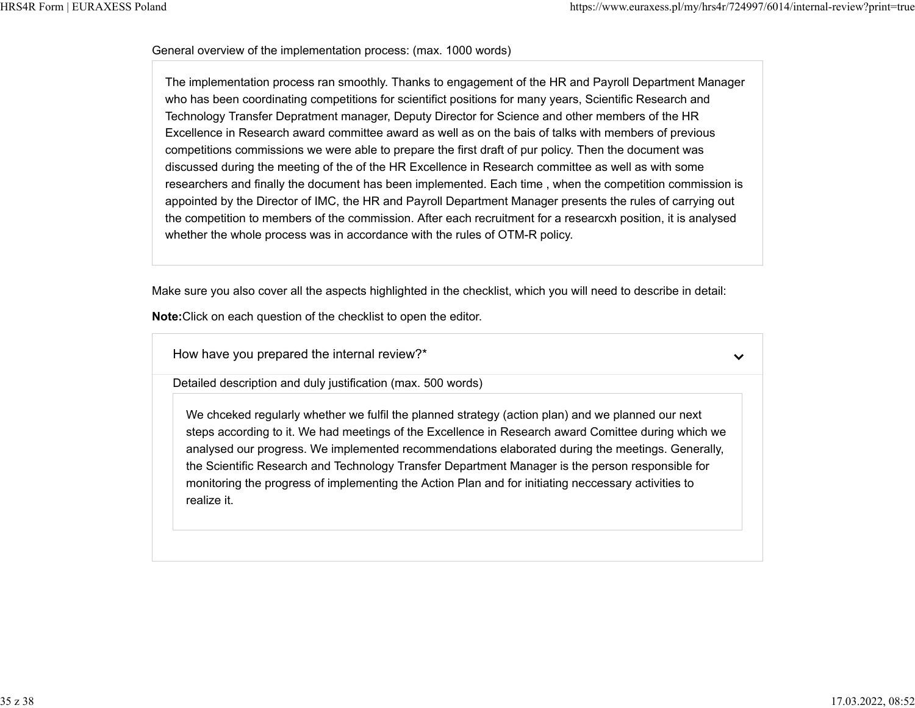$\checkmark$ 

#### General overview of the implementation process: (max. 1000 words)

The implementation process ran smoothly. Thanks to engagement of the HR and Payroll Department Manager who has been coordinating competitions for scientifict positions for many years, Scientific Research and Technology Transfer Depratment manager, Deputy Director for Science and other members of the HR Excellence in Research award committee award as well as on the bais of talks with members of previous competitions commissions we were able to prepare the first draft of pur policy. Then the document was discussed during the meeting of the of the HR Excellence in Research committee as well as with some researchers and finally the document has been implemented. Each time , when the competition commission is appointed by the Director of IMC, the HR and Payroll Department Manager presents the rules of carrying out the competition to members of the commission. After each recruitment for a researcxh position, it is analysed whether the whole process was in accordance with the rules of OTM-R policy.

Make sure you also cover all the aspects highlighted in the checklist, which you will need to describe in detail:

**Note:**Click on each question of the checklist to open the editor.

How have you prepared the internal review?\*

Detailed description and duly justification (max. 500 words)

We chceked regularly whether we fulfil the planned strategy (action plan) and we planned our next steps according to it. We had meetings of the Excellence in Research award Comittee during which we analysed our progress. We implemented recommendations elaborated during the meetings. Generally, the Scientific Research and Technology Transfer Department Manager is the person responsible for monitoring the progress of implementing the Action Plan and for initiating neccessary activities to realize it.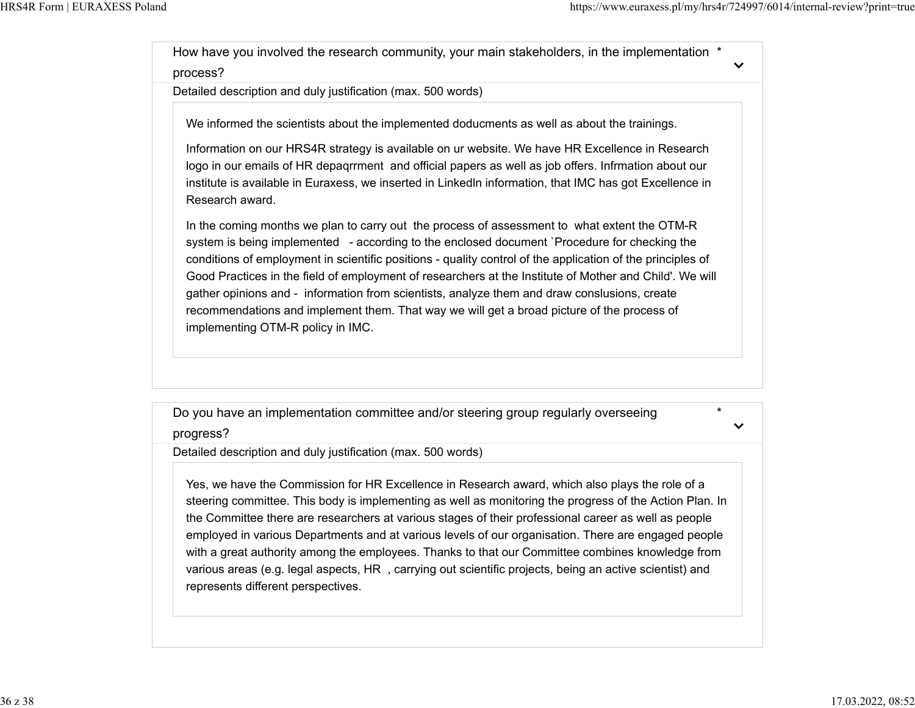$\checkmark$ 

\*

 $\checkmark$ 

How have you involved the research community, your main stakeholders, in the implementation \*

process?

Detailed description and duly justification (max. 500 words)

We informed the scientists about the implemented doducments as well as about the trainings.

Information on our HRS4R strategy is available on ur website. We have HR Excellence in Research logo in our emails of HR depaqrrment and official papers as well as job offers. Infrmation about our institute is available in Euraxess, we inserted in Linkedln information, that IMC has got Excellence in Research award.

In the coming months we plan to carry out the process of assessment to what extent the OTM-R system is being implemented - according to the enclosed document `Procedure for checking the conditions of employment in scientific positions - quality control of the application of the principles of Good Practices in the field of employment of researchers at the Institute of Mother and Child'. We will gather opinions and - information from scientists, analyze them and draw conslusions, create recommendations and implement them. That way we will get a broad picture of the process of implementing OTM-R policy in IMC.

Do you have an implementation committee and/or steering group regularly overseeing

progress?

Detailed description and duly justification (max. 500 words)

Yes, we have the Commission for HR Excellence in Research award, which also plays the role of a steering committee. This body is implementing as well as monitoring the progress of the Action Plan. In the Committee there are researchers at various stages of their professional career as well as people employed in various Departments and at various levels of our organisation. There are engaged people with a great authority among the employees. Thanks to that our Committee combines knowledge from various areas (e.g. legal aspects, HR , carrying out scientific projects, being an active scientist) and represents different perspectives.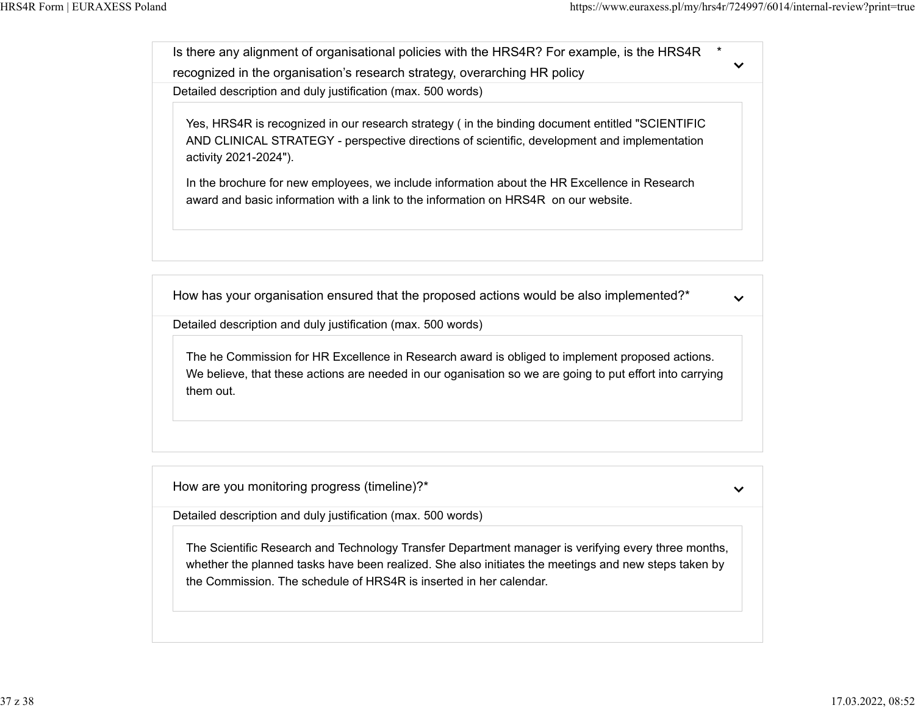Is there any alignment of organisational policies with the HRS4R? For example, is the HRS4R \*  $\checkmark$ recognized in the organisation's research strategy, overarching HR policy Detailed description and duly justification (max. 500 words)

Yes, HRS4R is recognized in our research strategy ( in the binding document entitled "SCIENTIFIC AND CLINICAL STRATEGY - perspective directions of scientific, development and implementation activity 2021-2024").

In the brochure for new employees, we include information about the HR Excellence in Research award and basic information with a link to the information on HRS4R on our website.

How has your organisation ensured that the proposed actions would be also implemented?\*

 $\checkmark$ 

Detailed description and duly justification (max. 500 words)

The he Commission for HR Excellence in Research award is obliged to implement proposed actions. We believe, that these actions are needed in our oganisation so we are going to put effort into carrying them out.

How are you monitoring progress (timeline)?\*

 $\checkmark$ 

Detailed description and duly justification (max. 500 words)

The Scientific Research and Technology Transfer Department manager is verifying every three months, whether the planned tasks have been realized. She also initiates the meetings and new steps taken by the Commission. The schedule of HRS4R is inserted in her calendar.